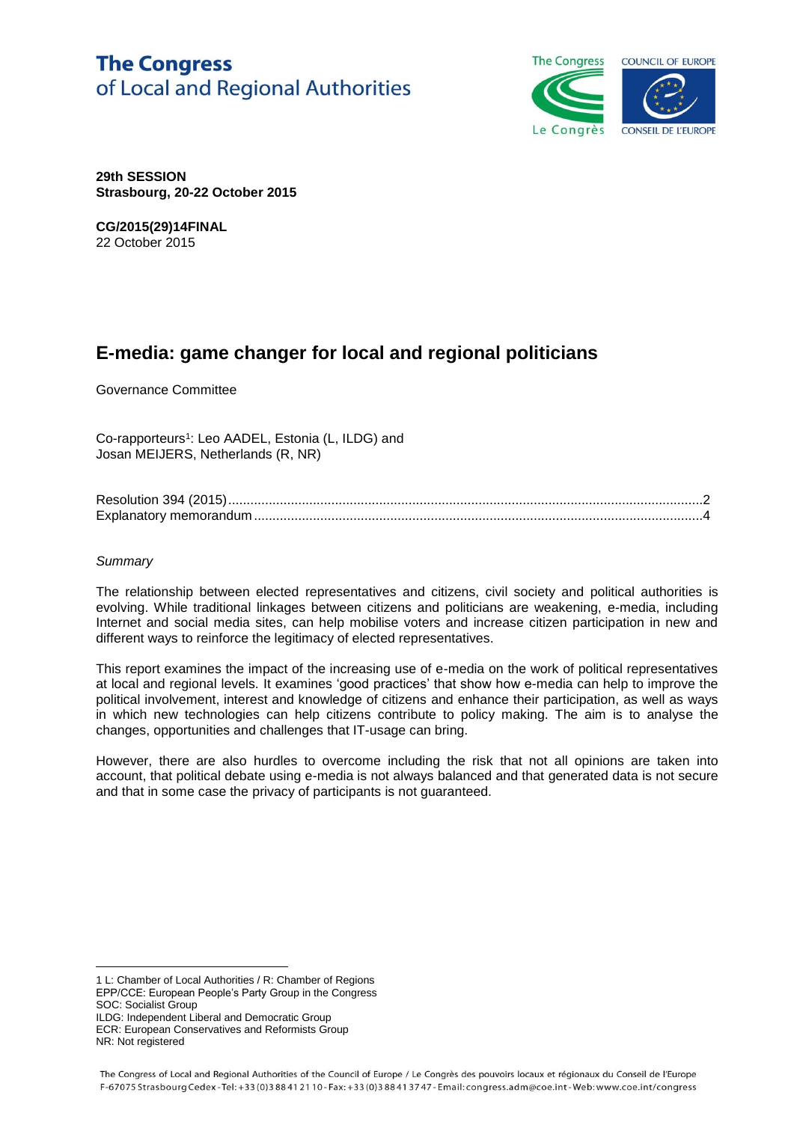# **The Congress** of Local and Regional Authorities



**29th SESSION Strasbourg, 20-22 October 2015**

**CG/2015(29)14FINAL** 22 October 2015

# **E-media: game changer for local and regional politicians**

Governance Committee

Co-rapporteurs<sup>1</sup>: Leo AADEL, Estonia (L, ILDG) and Josan MEIJERS, Netherlands (R, NR)

#### *Summary*

The relationship between elected representatives and citizens, civil society and political authorities is evolving. While traditional linkages between citizens and politicians are weakening, e-media, including Internet and social media sites, can help mobilise voters and increase citizen participation in new and different ways to reinforce the legitimacy of elected representatives.

This report examines the impact of the increasing use of e-media on the work of political representatives at local and regional levels. It examines 'good practices' that show how e-media can help to improve the political involvement, interest and knowledge of citizens and enhance their participation, as well as ways in which new technologies can help citizens contribute to policy making. The aim is to analyse the changes, opportunities and challenges that IT-usage can bring.

However, there are also hurdles to overcome including the risk that not all opinions are taken into account, that political debate using e-media is not always balanced and that generated data is not secure and that in some case the privacy of participants is not guaranteed.

ILDG: Independent Liberal and Democratic Group

ECR: European Conservatives and Reformists Group NR: Not registered

<sup>-</sup>1 L: Chamber of Local Authorities / R: Chamber of Regions EPP/CCE: European People's Party Group in the Congress SOC: Socialist Group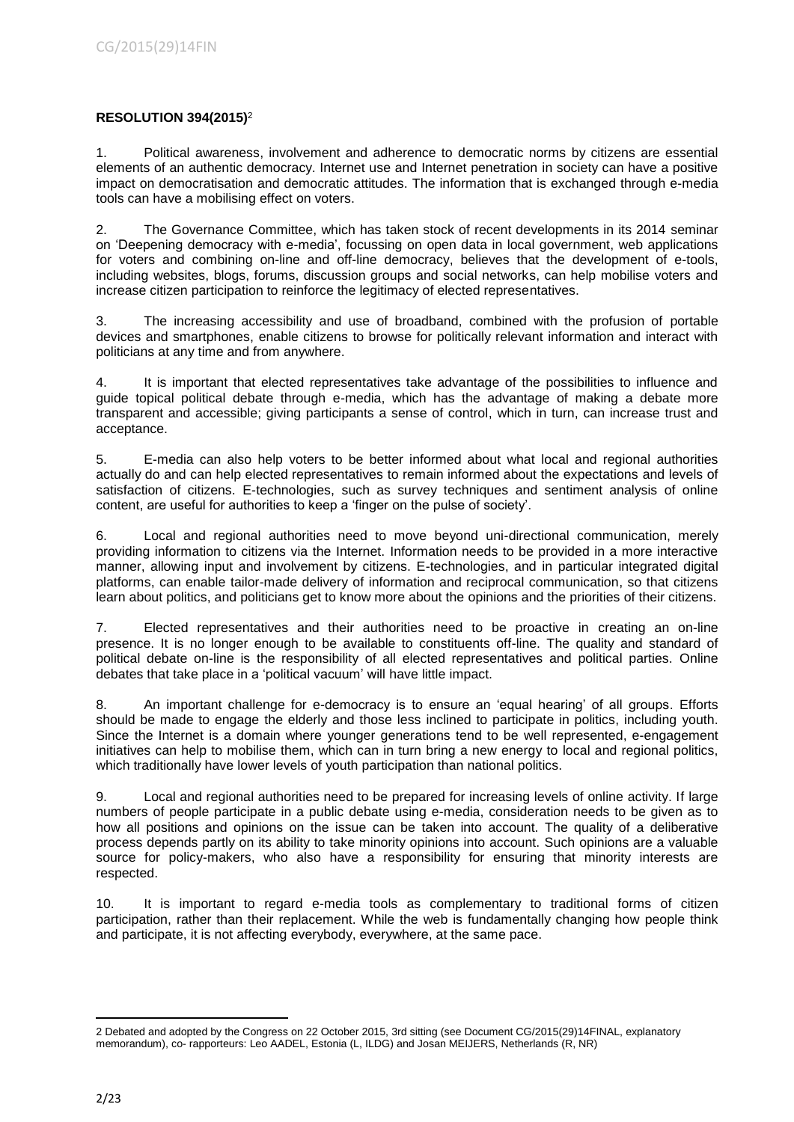# **RESOLUTION 394(2015)**<sup>2</sup>

1. Political awareness, involvement and adherence to democratic norms by citizens are essential elements of an authentic democracy. Internet use and Internet penetration in society can have a positive impact on democratisation and democratic attitudes. The information that is exchanged through e-media tools can have a mobilising effect on voters.

2. The Governance Committee, which has taken stock of recent developments in its 2014 seminar on 'Deepening democracy with e-media', focussing on open data in local government, web applications for voters and combining on-line and off-line democracy, believes that the development of e-tools, including websites, blogs, forums, discussion groups and social networks, can help mobilise voters and increase citizen participation to reinforce the legitimacy of elected representatives.

3. The increasing accessibility and use of broadband, combined with the profusion of portable devices and smartphones, enable citizens to browse for politically relevant information and interact with politicians at any time and from anywhere.

4. It is important that elected representatives take advantage of the possibilities to influence and guide topical political debate through e-media, which has the advantage of making a debate more transparent and accessible; giving participants a sense of control, which in turn, can increase trust and acceptance.

5. E-media can also help voters to be better informed about what local and regional authorities actually do and can help elected representatives to remain informed about the expectations and levels of satisfaction of citizens. E-technologies, such as survey techniques and sentiment analysis of online content, are useful for authorities to keep a 'finger on the pulse of society'.

6. Local and regional authorities need to move beyond uni-directional communication, merely providing information to citizens via the Internet. Information needs to be provided in a more interactive manner, allowing input and involvement by citizens. E-technologies, and in particular integrated digital platforms, can enable tailor-made delivery of information and reciprocal communication, so that citizens learn about politics, and politicians get to know more about the opinions and the priorities of their citizens.

7. Elected representatives and their authorities need to be proactive in creating an on-line presence. It is no longer enough to be available to constituents off-line. The quality and standard of political debate on-line is the responsibility of all elected representatives and political parties. Online debates that take place in a 'political vacuum' will have little impact.

8. An important challenge for e-democracy is to ensure an 'equal hearing' of all groups. Efforts should be made to engage the elderly and those less inclined to participate in politics, including youth. Since the Internet is a domain where younger generations tend to be well represented, e-engagement initiatives can help to mobilise them, which can in turn bring a new energy to local and regional politics, which traditionally have lower levels of youth participation than national politics.

9. Local and regional authorities need to be prepared for increasing levels of online activity. If large numbers of people participate in a public debate using e-media, consideration needs to be given as to how all positions and opinions on the issue can be taken into account. The quality of a deliberative process depends partly on its ability to take minority opinions into account. Such opinions are a valuable source for policy-makers, who also have a responsibility for ensuring that minority interests are respected.

10. It is important to regard e-media tools as complementary to traditional forms of citizen participation, rather than their replacement. While the web is fundamentally changing how people think and participate, it is not affecting everybody, everywhere, at the same pace.

<sup>-</sup>2 Debated and adopted by the Congress on 22 October 2015, 3rd sitting (see Document CG/2015(29)14FINAL, explanatory memorandum), co- rapporteurs: Leo AADEL, Estonia (L, ILDG) and Josan MEIJERS, Netherlands (R, NR)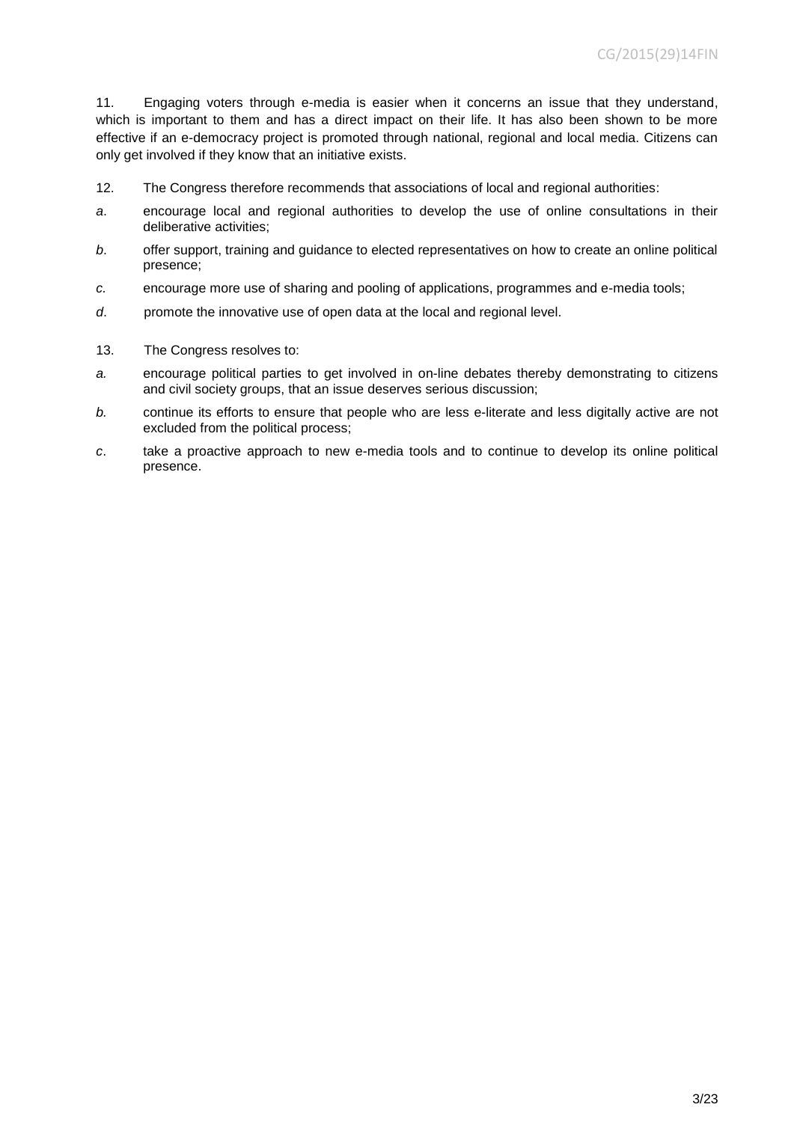11. Engaging voters through e-media is easier when it concerns an issue that they understand, which is important to them and has a direct impact on their life. It has also been shown to be more effective if an e-democracy project is promoted through national, regional and local media. Citizens can only get involved if they know that an initiative exists.

- 12. The Congress therefore recommends that associations of local and regional authorities:
- *a*. encourage local and regional authorities to develop the use of online consultations in their deliberative activities;
- *b*. offer support, training and guidance to elected representatives on how to create an online political presence;
- *c.* encourage more use of sharing and pooling of applications, programmes and e-media tools;
- *d*. promote the innovative use of open data at the local and regional level.
- 13. The Congress resolves to:
- *a.* encourage political parties to get involved in on-line debates thereby demonstrating to citizens and civil society groups, that an issue deserves serious discussion;
- *b.* continue its efforts to ensure that people who are less e-literate and less digitally active are not excluded from the political process;
- *c*. take a proactive approach to new e-media tools and to continue to develop its online political presence.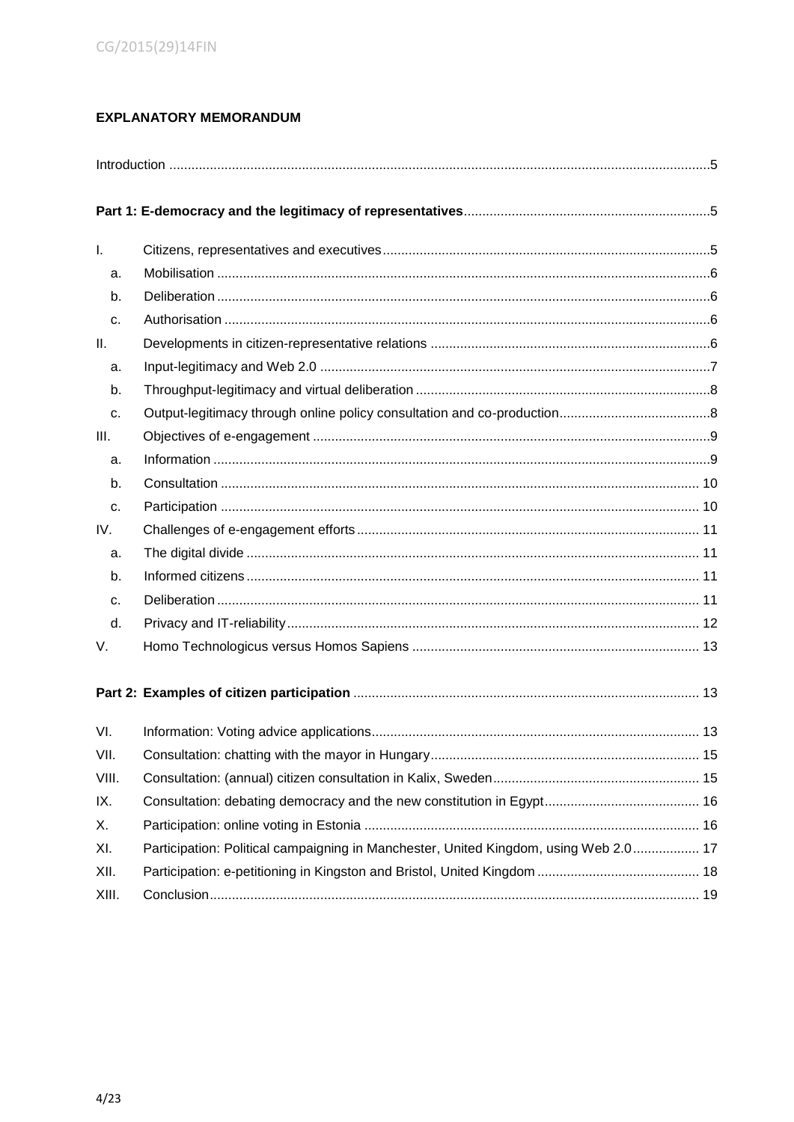# **EXPLANATORY MEMORANDUM**

| I.    |                                                                                      |  |  |
|-------|--------------------------------------------------------------------------------------|--|--|
| a.    |                                                                                      |  |  |
| b.    |                                                                                      |  |  |
| C.    |                                                                                      |  |  |
| Ш.    |                                                                                      |  |  |
| a.    |                                                                                      |  |  |
| b.    |                                                                                      |  |  |
| C.    |                                                                                      |  |  |
| III.  |                                                                                      |  |  |
| a.    |                                                                                      |  |  |
| b.    |                                                                                      |  |  |
| C.    |                                                                                      |  |  |
| IV.   |                                                                                      |  |  |
| a.    |                                                                                      |  |  |
| b.    |                                                                                      |  |  |
| C.    |                                                                                      |  |  |
| d.    |                                                                                      |  |  |
| V.    |                                                                                      |  |  |
|       |                                                                                      |  |  |
| VI.   |                                                                                      |  |  |
| VII.  |                                                                                      |  |  |
| VIII. |                                                                                      |  |  |
| IX.   |                                                                                      |  |  |
| Х.    |                                                                                      |  |  |
| XI.   | Participation: Political campaigning in Manchester, United Kingdom, using Web 2.0 17 |  |  |
| XII.  |                                                                                      |  |  |
| XIII. |                                                                                      |  |  |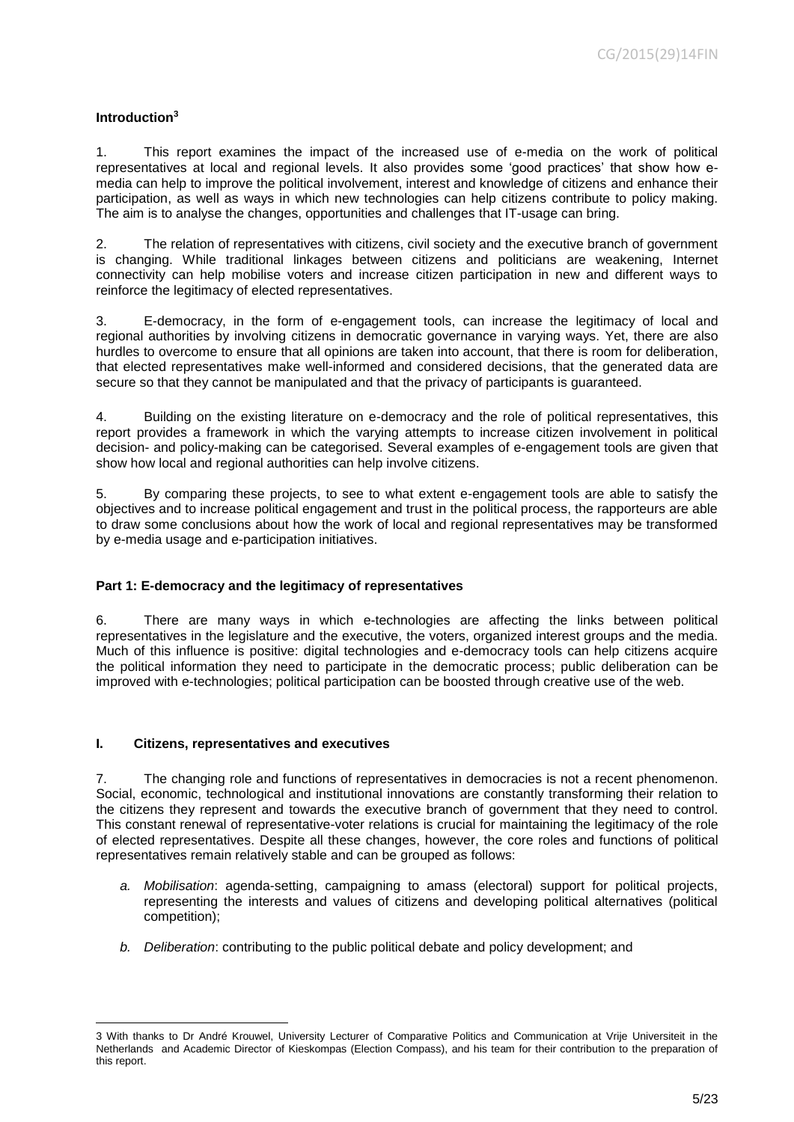## <span id="page-4-0"></span>**Introduction<sup>3</sup>**

1. This report examines the impact of the increased use of e-media on the work of political representatives at local and regional levels. It also provides some 'good practices' that show how emedia can help to improve the political involvement, interest and knowledge of citizens and enhance their participation, as well as ways in which new technologies can help citizens contribute to policy making. The aim is to analyse the changes, opportunities and challenges that IT-usage can bring.

2. The relation of representatives with citizens, civil society and the executive branch of government is changing. While traditional linkages between citizens and politicians are weakening, Internet connectivity can help mobilise voters and increase citizen participation in new and different ways to reinforce the legitimacy of elected representatives.

3. E-democracy, in the form of e-engagement tools, can increase the legitimacy of local and regional authorities by involving citizens in democratic governance in varying ways. Yet, there are also hurdles to overcome to ensure that all opinions are taken into account, that there is room for deliberation, that elected representatives make well-informed and considered decisions, that the generated data are secure so that they cannot be manipulated and that the privacy of participants is guaranteed.

4. Building on the existing literature on e-democracy and the role of political representatives, this report provides a framework in which the varying attempts to increase citizen involvement in political decision- and policy-making can be categorised. Several examples of e-engagement tools are given that show how local and regional authorities can help involve citizens.

5. By comparing these projects, to see to what extent e-engagement tools are able to satisfy the objectives and to increase political engagement and trust in the political process, the rapporteurs are able to draw some conclusions about how the work of local and regional representatives may be transformed by e-media usage and e-participation initiatives.

## <span id="page-4-1"></span>**Part 1: E-democracy and the legitimacy of representatives**

6. There are many ways in which e-technologies are affecting the links between political representatives in the legislature and the executive, the voters, organized interest groups and the media. Much of this influence is positive: digital technologies and e-democracy tools can help citizens acquire the political information they need to participate in the democratic process; public deliberation can be improved with e-technologies; political participation can be boosted through creative use of the web.

## <span id="page-4-2"></span>**I. Citizens, representatives and executives**

-

7. The changing role and functions of representatives in democracies is not a recent phenomenon. Social, economic, technological and institutional innovations are constantly transforming their relation to the citizens they represent and towards the executive branch of government that they need to control. This constant renewal of representative-voter relations is crucial for maintaining the legitimacy of the role of elected representatives. Despite all these changes, however, the core roles and functions of political representatives remain relatively stable and can be grouped as follows:

- *a. Mobilisation*: agenda-setting, campaigning to amass (electoral) support for political projects, representing the interests and values of citizens and developing political alternatives (political competition);
- *b. Deliberation*: contributing to the public political debate and policy development; and

<sup>3</sup> With thanks to Dr André Krouwel, University Lecturer of Comparative Politics and Communication at Vrije Universiteit in the Netherlands and Academic Director of Kieskompas (Election Compass), and his team for their contribution to the preparation of this report.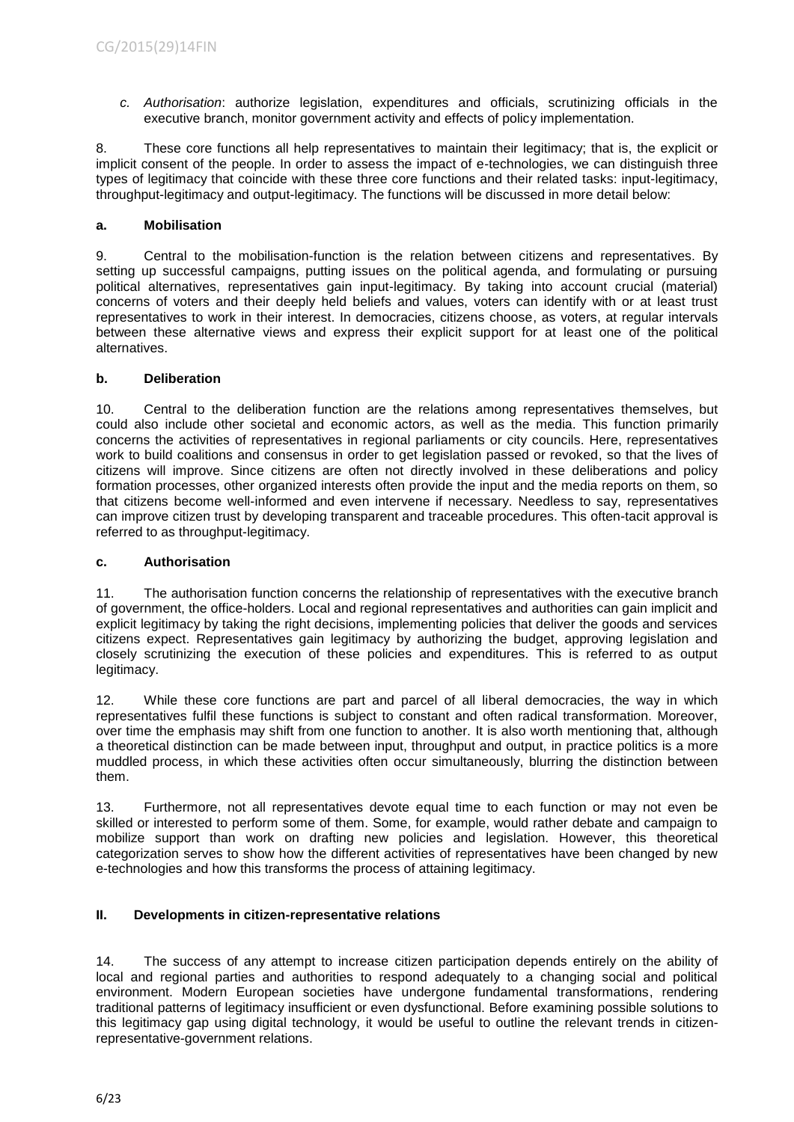*c. Authorisation*: authorize legislation, expenditures and officials, scrutinizing officials in the executive branch, monitor government activity and effects of policy implementation.

8. These core functions all help representatives to maintain their legitimacy; that is, the explicit or implicit consent of the people. In order to assess the impact of e-technologies, we can distinguish three types of legitimacy that coincide with these three core functions and their related tasks: input-legitimacy, throughput-legitimacy and output-legitimacy. The functions will be discussed in more detail below:

## <span id="page-5-0"></span>**a. Mobilisation**

9. Central to the mobilisation-function is the relation between citizens and representatives. By setting up successful campaigns, putting issues on the political agenda, and formulating or pursuing political alternatives, representatives gain input-legitimacy. By taking into account crucial (material) concerns of voters and their deeply held beliefs and values, voters can identify with or at least trust representatives to work in their interest. In democracies, citizens choose, as voters, at regular intervals between these alternative views and express their explicit support for at least one of the political alternatives.

## <span id="page-5-1"></span>**b. Deliberation**

10. Central to the deliberation function are the relations among representatives themselves, but could also include other societal and economic actors, as well as the media. This function primarily concerns the activities of representatives in regional parliaments or city councils. Here, representatives work to build coalitions and consensus in order to get legislation passed or revoked, so that the lives of citizens will improve. Since citizens are often not directly involved in these deliberations and policy formation processes, other organized interests often provide the input and the media reports on them, so that citizens become well-informed and even intervene if necessary. Needless to say, representatives can improve citizen trust by developing transparent and traceable procedures. This often-tacit approval is referred to as throughput-legitimacy.

## <span id="page-5-2"></span>**c. Authorisation**

11. The authorisation function concerns the relationship of representatives with the executive branch of government, the office-holders. Local and regional representatives and authorities can gain implicit and explicit legitimacy by taking the right decisions, implementing policies that deliver the goods and services citizens expect. Representatives gain legitimacy by authorizing the budget, approving legislation and closely scrutinizing the execution of these policies and expenditures. This is referred to as output legitimacy.

12. While these core functions are part and parcel of all liberal democracies, the way in which representatives fulfil these functions is subject to constant and often radical transformation. Moreover, over time the emphasis may shift from one function to another. It is also worth mentioning that, although a theoretical distinction can be made between input, throughput and output, in practice politics is a more muddled process, in which these activities often occur simultaneously, blurring the distinction between them.

13. Furthermore, not all representatives devote equal time to each function or may not even be skilled or interested to perform some of them. Some, for example, would rather debate and campaign to mobilize support than work on drafting new policies and legislation. However, this theoretical categorization serves to show how the different activities of representatives have been changed by new e-technologies and how this transforms the process of attaining legitimacy.

# <span id="page-5-3"></span>**II. Developments in citizen-representative relations**

14. The success of any attempt to increase citizen participation depends entirely on the ability of local and regional parties and authorities to respond adequately to a changing social and political environment. Modern European societies have undergone fundamental transformations, rendering traditional patterns of legitimacy insufficient or even dysfunctional. Before examining possible solutions to this legitimacy gap using digital technology, it would be useful to outline the relevant trends in citizenrepresentative-government relations.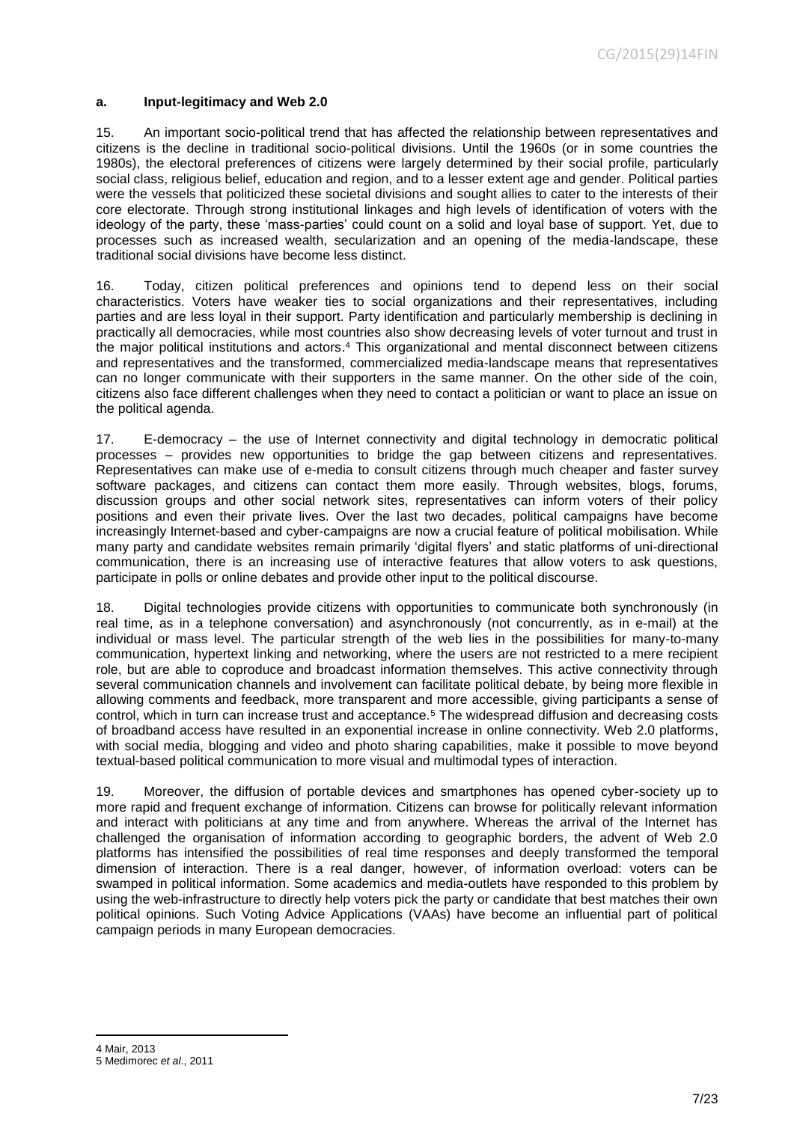#### <span id="page-6-0"></span>**a. Input-legitimacy and Web 2.0**

15. An important socio-political trend that has affected the relationship between representatives and citizens is the decline in traditional socio-political divisions. Until the 1960s (or in some countries the 1980s), the electoral preferences of citizens were largely determined by their social profile, particularly social class, religious belief, education and region, and to a lesser extent age and gender. Political parties were the vessels that politicized these societal divisions and sought allies to cater to the interests of their core electorate. Through strong institutional linkages and high levels of identification of voters with the ideology of the party, these 'mass-parties' could count on a solid and loyal base of support. Yet, due to processes such as increased wealth, secularization and an opening of the media-landscape, these traditional social divisions have become less distinct.

16. Today, citizen political preferences and opinions tend to depend less on their social characteristics. Voters have weaker ties to social organizations and their representatives, including parties and are less loyal in their support. Party identification and particularly membership is declining in practically all democracies, while most countries also show decreasing levels of voter turnout and trust in the major political institutions and actors. <sup>4</sup> This organizational and mental disconnect between citizens and representatives and the transformed, commercialized media-landscape means that representatives can no longer communicate with their supporters in the same manner. On the other side of the coin, citizens also face different challenges when they need to contact a politician or want to place an issue on the political agenda.

17. E-democracy – the use of Internet connectivity and digital technology in democratic political processes – provides new opportunities to bridge the gap between citizens and representatives. Representatives can make use of e-media to consult citizens through much cheaper and faster survey software packages, and citizens can contact them more easily. Through websites, blogs, forums, discussion groups and other social network sites, representatives can inform voters of their policy positions and even their private lives. Over the last two decades, political campaigns have become increasingly Internet-based and cyber-campaigns are now a crucial feature of political mobilisation. While many party and candidate websites remain primarily 'digital flyers' and static platforms of uni-directional communication, there is an increasing use of interactive features that allow voters to ask questions, participate in polls or online debates and provide other input to the political discourse.

18. Digital technologies provide citizens with opportunities to communicate both synchronously (in real time, as in a telephone conversation) and asynchronously (not concurrently, as in e-mail) at the individual or mass level. The particular strength of the web lies in the possibilities for many-to-many communication, hypertext linking and networking, where the users are not restricted to a mere recipient role, but are able to coproduce and broadcast information themselves. This active connectivity through several communication channels and involvement can facilitate political debate, by being more flexible in allowing comments and feedback, more transparent and more accessible, giving participants a sense of control, which in turn can increase trust and acceptance.<sup>5</sup> The widespread diffusion and decreasing costs of broadband access have resulted in an exponential increase in online connectivity. Web 2.0 platforms, with social media, blogging and video and photo sharing capabilities, make it possible to move beyond textual-based political communication to more visual and multimodal types of interaction.

19. Moreover, the diffusion of portable devices and smartphones has opened cyber-society up to more rapid and frequent exchange of information. Citizens can browse for politically relevant information and interact with politicians at any time and from anywhere. Whereas the arrival of the Internet has challenged the organisation of information according to geographic borders, the advent of Web 2.0 platforms has intensified the possibilities of real time responses and deeply transformed the temporal dimension of interaction. There is a real danger, however, of information overload: voters can be swamped in political information. Some academics and media-outlets have responded to this problem by using the web-infrastructure to directly help voters pick the party or candidate that best matches their own political opinions. Such Voting Advice Applications (VAAs) have become an influential part of political campaign periods in many European democracies.

<sup>4</sup> Mair, 2013

<sup>5</sup> Medimorec *et al*., 2011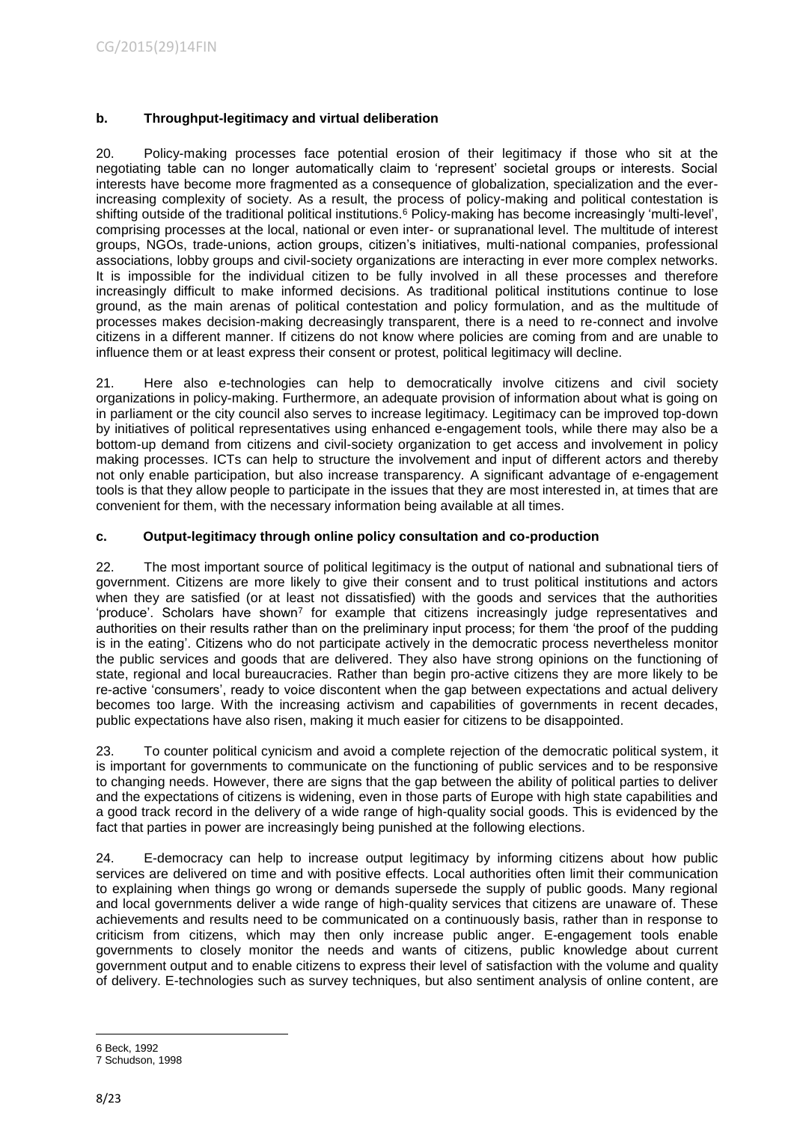## <span id="page-7-0"></span>**b. Throughput-legitimacy and virtual deliberation**

20. Policy-making processes face potential erosion of their legitimacy if those who sit at the negotiating table can no longer automatically claim to 'represent' societal groups or interests. Social interests have become more fragmented as a consequence of globalization, specialization and the everincreasing complexity of society. As a result, the process of policy-making and political contestation is shifting outside of the traditional political institutions.<sup>6</sup> Policy-making has become increasingly 'multi-level', comprising processes at the local, national or even inter- or supranational level. The multitude of interest groups, NGOs, trade-unions, action groups, citizen's initiatives, multi-national companies, professional associations, lobby groups and civil-society organizations are interacting in ever more complex networks. It is impossible for the individual citizen to be fully involved in all these processes and therefore increasingly difficult to make informed decisions. As traditional political institutions continue to lose ground, as the main arenas of political contestation and policy formulation, and as the multitude of processes makes decision-making decreasingly transparent, there is a need to re-connect and involve citizens in a different manner. If citizens do not know where policies are coming from and are unable to influence them or at least express their consent or protest, political legitimacy will decline.

21. Here also e-technologies can help to democratically involve citizens and civil society organizations in policy-making. Furthermore, an adequate provision of information about what is going on in parliament or the city council also serves to increase legitimacy. Legitimacy can be improved top-down by initiatives of political representatives using enhanced e-engagement tools, while there may also be a bottom-up demand from citizens and civil-society organization to get access and involvement in policy making processes. ICTs can help to structure the involvement and input of different actors and thereby not only enable participation, but also increase transparency. A significant advantage of e-engagement tools is that they allow people to participate in the issues that they are most interested in, at times that are convenient for them, with the necessary information being available at all times.

## <span id="page-7-1"></span>**c. Output-legitimacy through online policy consultation and co-production**

22. The most important source of political legitimacy is the output of national and subnational tiers of government. Citizens are more likely to give their consent and to trust political institutions and actors when they are satisfied (or at least not dissatisfied) with the goods and services that the authorities 'produce'. Scholars have shown<sup>7</sup> for example that citizens increasingly judge representatives and authorities on their results rather than on the preliminary input process; for them 'the proof of the pudding is in the eating'. Citizens who do not participate actively in the democratic process nevertheless monitor the public services and goods that are delivered. They also have strong opinions on the functioning of state, regional and local bureaucracies. Rather than begin pro-active citizens they are more likely to be re-active 'consumers', ready to voice discontent when the gap between expectations and actual delivery becomes too large. With the increasing activism and capabilities of governments in recent decades, public expectations have also risen, making it much easier for citizens to be disappointed.

23. To counter political cynicism and avoid a complete rejection of the democratic political system, it is important for governments to communicate on the functioning of public services and to be responsive to changing needs. However, there are signs that the gap between the ability of political parties to deliver and the expectations of citizens is widening, even in those parts of Europe with high state capabilities and a good track record in the delivery of a wide range of high-quality social goods. This is evidenced by the fact that parties in power are increasingly being punished at the following elections.

24. E-democracy can help to increase output legitimacy by informing citizens about how public services are delivered on time and with positive effects. Local authorities often limit their communication to explaining when things go wrong or demands supersede the supply of public goods. Many regional and local governments deliver a wide range of high-quality services that citizens are unaware of. These achievements and results need to be communicated on a continuously basis, rather than in response to criticism from citizens, which may then only increase public anger. E-engagement tools enable governments to closely monitor the needs and wants of citizens, public knowledge about current government output and to enable citizens to express their level of satisfaction with the volume and quality of delivery. E-technologies such as survey techniques, but also sentiment analysis of online content, are

<sup>1</sup> 6 Beck, 1992

<sup>7</sup> Schudson, 1998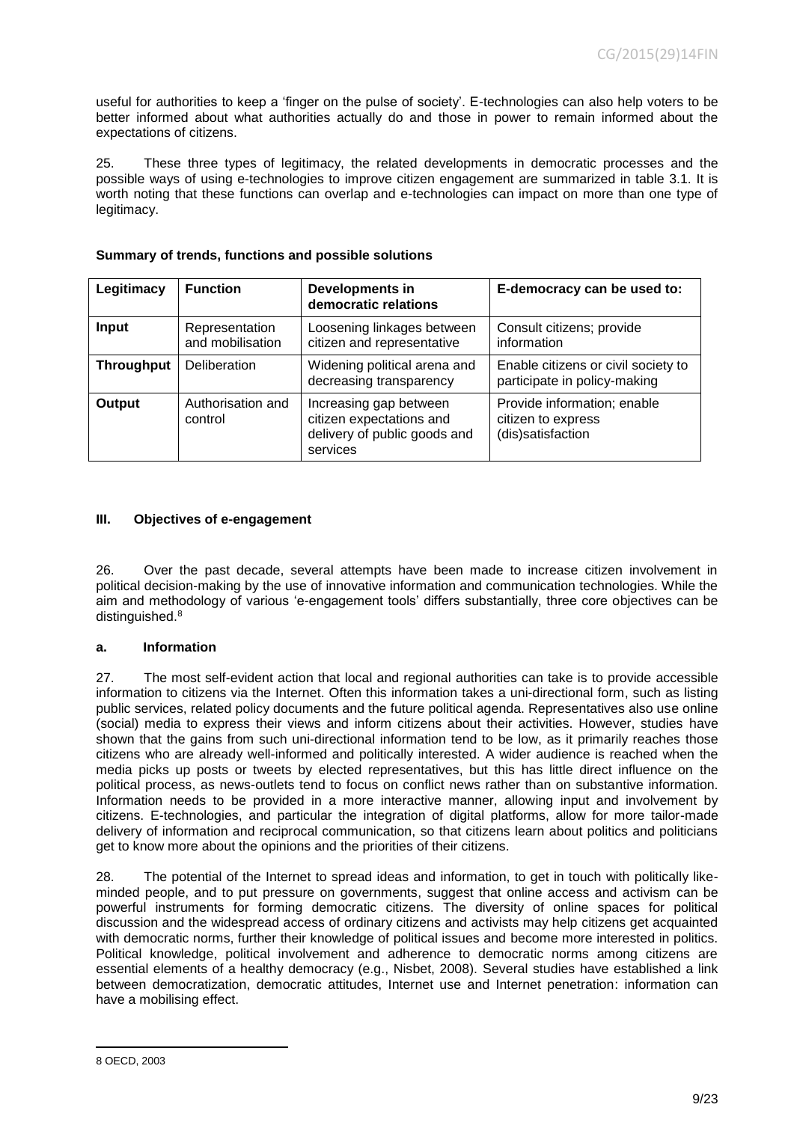useful for authorities to keep a 'finger on the pulse of society'. E-technologies can also help voters to be better informed about what authorities actually do and those in power to remain informed about the expectations of citizens.

25. These three types of legitimacy, the related developments in democratic processes and the possible ways of using e-technologies to improve citizen engagement are summarized in table 3.1. It is worth noting that these functions can overlap and e-technologies can impact on more than one type of legitimacy.

| Legitimacy        | <b>Function</b>                    | Developments in<br>democratic relations                                                        | E-democracy can be used to:                                            |
|-------------------|------------------------------------|------------------------------------------------------------------------------------------------|------------------------------------------------------------------------|
| Input             | Representation<br>and mobilisation | Loosening linkages between<br>citizen and representative                                       | Consult citizens; provide<br>information                               |
| <b>Throughput</b> | Deliberation                       | Widening political arena and<br>decreasing transparency                                        | Enable citizens or civil society to<br>participate in policy-making    |
| Output            | Authorisation and<br>control       | Increasing gap between<br>citizen expectations and<br>delivery of public goods and<br>services | Provide information; enable<br>citizen to express<br>(dis)satisfaction |

## **Summary of trends, functions and possible solutions**

## <span id="page-8-0"></span>**III. Objectives of e-engagement**

26. Over the past decade, several attempts have been made to increase citizen involvement in political decision-making by the use of innovative information and communication technologies. While the aim and methodology of various 'e-engagement tools' differs substantially, three core objectives can be distinguished.<sup>8</sup>

## <span id="page-8-1"></span>**a. Information**

27. The most self-evident action that local and regional authorities can take is to provide accessible information to citizens via the Internet. Often this information takes a uni-directional form, such as listing public services, related policy documents and the future political agenda. Representatives also use online (social) media to express their views and inform citizens about their activities. However, studies have shown that the gains from such uni-directional information tend to be low, as it primarily reaches those citizens who are already well-informed and politically interested. A wider audience is reached when the media picks up posts or tweets by elected representatives, but this has little direct influence on the political process, as news-outlets tend to focus on conflict news rather than on substantive information. Information needs to be provided in a more interactive manner, allowing input and involvement by citizens. E-technologies, and particular the integration of digital platforms, allow for more tailor-made delivery of information and reciprocal communication, so that citizens learn about politics and politicians get to know more about the opinions and the priorities of their citizens.

28. The potential of the Internet to spread ideas and information, to get in touch with politically likeminded people, and to put pressure on governments, suggest that online access and activism can be powerful instruments for forming democratic citizens. The diversity of online spaces for political discussion and the widespread access of ordinary citizens and activists may help citizens get acquainted with democratic norms, further their knowledge of political issues and become more interested in politics. Political knowledge, political involvement and adherence to democratic norms among citizens are essential elements of a healthy democracy (e.g., Nisbet, 2008). Several studies have established a link between democratization, democratic attitudes, Internet use and Internet penetration: information can have a mobilising effect.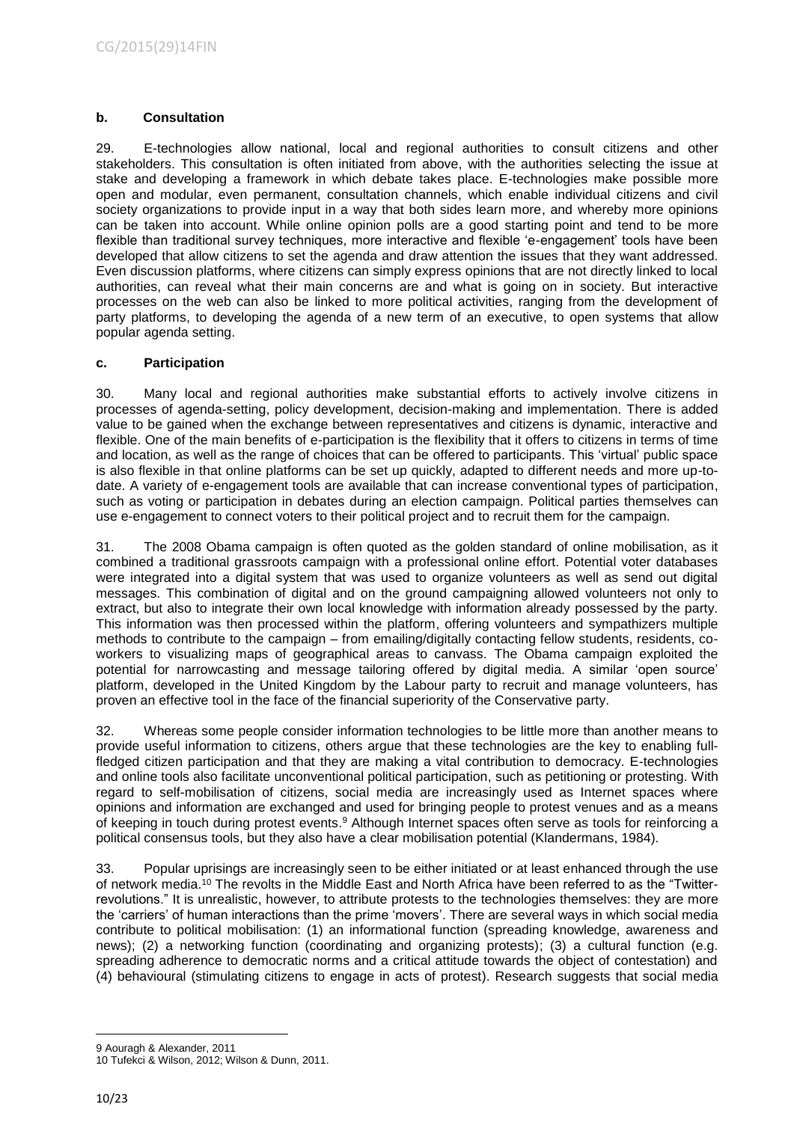## <span id="page-9-0"></span>**b. Consultation**

29. E-technologies allow national, local and regional authorities to consult citizens and other stakeholders. This consultation is often initiated from above, with the authorities selecting the issue at stake and developing a framework in which debate takes place. E-technologies make possible more open and modular, even permanent, consultation channels, which enable individual citizens and civil society organizations to provide input in a way that both sides learn more, and whereby more opinions can be taken into account. While online opinion polls are a good starting point and tend to be more flexible than traditional survey techniques, more interactive and flexible 'e-engagement' tools have been developed that allow citizens to set the agenda and draw attention the issues that they want addressed. Even discussion platforms, where citizens can simply express opinions that are not directly linked to local authorities, can reveal what their main concerns are and what is going on in society. But interactive processes on the web can also be linked to more political activities, ranging from the development of party platforms, to developing the agenda of a new term of an executive, to open systems that allow popular agenda setting.

## <span id="page-9-1"></span>**c. Participation**

30. Many local and regional authorities make substantial efforts to actively involve citizens in processes of agenda-setting, policy development, decision-making and implementation. There is added value to be gained when the exchange between representatives and citizens is dynamic, interactive and flexible. One of the main benefits of e-participation is the flexibility that it offers to citizens in terms of time and location, as well as the range of choices that can be offered to participants. This 'virtual' public space is also flexible in that online platforms can be set up quickly, adapted to different needs and more up-todate. A variety of e-engagement tools are available that can increase conventional types of participation, such as voting or participation in debates during an election campaign. Political parties themselves can use e-engagement to connect voters to their political project and to recruit them for the campaign.

31. The 2008 Obama campaign is often quoted as the golden standard of online mobilisation, as it combined a traditional grassroots campaign with a professional online effort. Potential voter databases were integrated into a digital system that was used to organize volunteers as well as send out digital messages. This combination of digital and on the ground campaigning allowed volunteers not only to extract, but also to integrate their own local knowledge with information already possessed by the party. This information was then processed within the platform, offering volunteers and sympathizers multiple methods to contribute to the campaign – from emailing/digitally contacting fellow students, residents, coworkers to visualizing maps of geographical areas to canvass. The Obama campaign exploited the potential for narrowcasting and message tailoring offered by digital media. A similar 'open source' platform, developed in the United Kingdom by the Labour party to recruit and manage volunteers, has proven an effective tool in the face of the financial superiority of the Conservative party.

32. Whereas some people consider information technologies to be little more than another means to provide useful information to citizens, others argue that these technologies are the key to enabling fullfledged citizen participation and that they are making a vital contribution to democracy. E-technologies and online tools also facilitate unconventional political participation, such as petitioning or protesting. With regard to self-mobilisation of citizens, social media are increasingly used as Internet spaces where opinions and information are exchanged and used for bringing people to protest venues and as a means of keeping in touch during protest events. <sup>9</sup> Although Internet spaces often serve as tools for reinforcing a political consensus tools, but they also have a clear mobilisation potential (Klandermans, 1984).

33. Popular uprisings are increasingly seen to be either initiated or at least enhanced through the use of network media. <sup>10</sup> The revolts in the Middle East and North Africa have been referred to as the "Twitterrevolutions." It is unrealistic, however, to attribute protests to the technologies themselves: they are more the 'carriers' of human interactions than the prime 'movers'. There are several ways in which social media contribute to political mobilisation: (1) an informational function (spreading knowledge, awareness and news); (2) a networking function (coordinating and organizing protests); (3) a cultural function (e.g. spreading adherence to democratic norms and a critical attitude towards the object of contestation) and (4) behavioural (stimulating citizens to engage in acts of protest). Research suggests that social media

<sup>1</sup> 9 Aouragh & Alexander, 2011

<sup>10</sup> Tufekci & Wilson, 2012; Wilson & Dunn, 2011.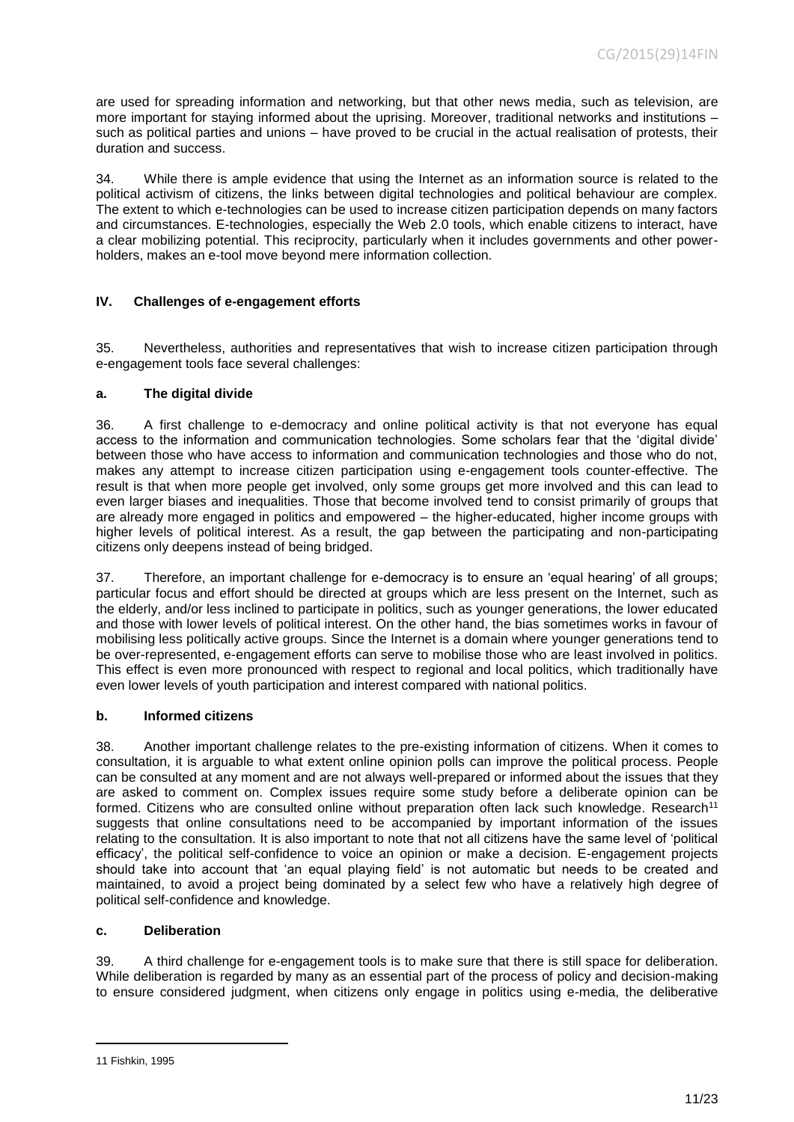are used for spreading information and networking, but that other news media, such as television, are more important for staying informed about the uprising. Moreover, traditional networks and institutions – such as political parties and unions – have proved to be crucial in the actual realisation of protests, their duration and success.

34. While there is ample evidence that using the Internet as an information source is related to the political activism of citizens, the links between digital technologies and political behaviour are complex. The extent to which e-technologies can be used to increase citizen participation depends on many factors and circumstances. E-technologies, especially the Web 2.0 tools, which enable citizens to interact, have a clear mobilizing potential. This reciprocity, particularly when it includes governments and other powerholders, makes an e-tool move beyond mere information collection.

## <span id="page-10-0"></span>**IV. Challenges of e-engagement efforts**

35. Nevertheless, authorities and representatives that wish to increase citizen participation through e-engagement tools face several challenges:

## <span id="page-10-1"></span>**a. The digital divide**

36. A first challenge to e-democracy and online political activity is that not everyone has equal access to the information and communication technologies. Some scholars fear that the 'digital divide' between those who have access to information and communication technologies and those who do not, makes any attempt to increase citizen participation using e-engagement tools counter-effective. The result is that when more people get involved, only some groups get more involved and this can lead to even larger biases and inequalities. Those that become involved tend to consist primarily of groups that are already more engaged in politics and empowered – the higher-educated, higher income groups with higher levels of political interest. As a result, the gap between the participating and non-participating citizens only deepens instead of being bridged.

37. Therefore, an important challenge for e-democracy is to ensure an 'equal hearing' of all groups; particular focus and effort should be directed at groups which are less present on the Internet, such as the elderly, and/or less inclined to participate in politics, such as younger generations, the lower educated and those with lower levels of political interest. On the other hand, the bias sometimes works in favour of mobilising less politically active groups. Since the Internet is a domain where younger generations tend to be over-represented, e-engagement efforts can serve to mobilise those who are least involved in politics. This effect is even more pronounced with respect to regional and local politics, which traditionally have even lower levels of youth participation and interest compared with national politics.

## <span id="page-10-2"></span>**b. Informed citizens**

38. Another important challenge relates to the pre-existing information of citizens. When it comes to consultation, it is arguable to what extent online opinion polls can improve the political process. People can be consulted at any moment and are not always well-prepared or informed about the issues that they are asked to comment on. Complex issues require some study before a deliberate opinion can be formed. Citizens who are consulted online without preparation often lack such knowledge. Research<sup>11</sup> suggests that online consultations need to be accompanied by important information of the issues relating to the consultation. It is also important to note that not all citizens have the same level of 'political efficacy', the political self-confidence to voice an opinion or make a decision. E-engagement projects should take into account that 'an equal playing field' is not automatic but needs to be created and maintained, to avoid a project being dominated by a select few who have a relatively high degree of political self-confidence and knowledge.

## <span id="page-10-3"></span>**c. Deliberation**

39. A third challenge for e-engagement tools is to make sure that there is still space for deliberation. While deliberation is regarded by many as an essential part of the process of policy and decision-making to ensure considered judgment, when citizens only engage in politics using e-media, the deliberative

<sup>11</sup> Fishkin, 1995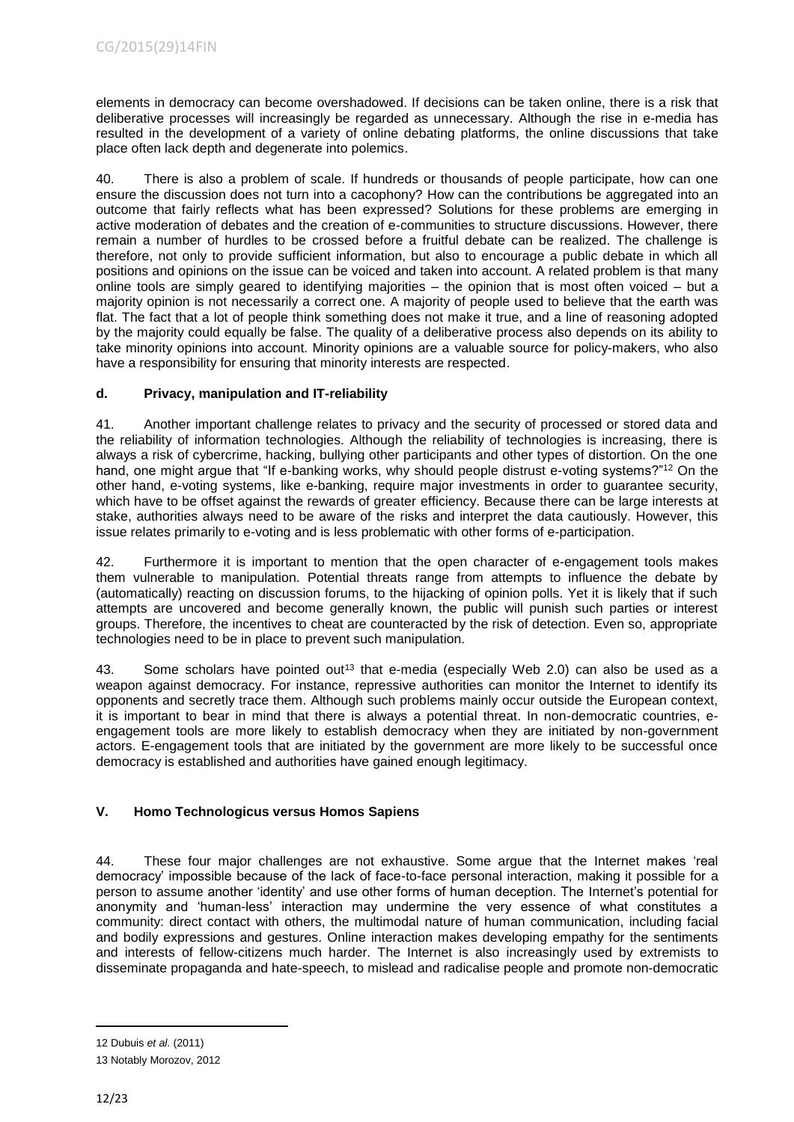elements in democracy can become overshadowed. If decisions can be taken online, there is a risk that deliberative processes will increasingly be regarded as unnecessary. Although the rise in e-media has resulted in the development of a variety of online debating platforms, the online discussions that take place often lack depth and degenerate into polemics.

40. There is also a problem of scale. If hundreds or thousands of people participate, how can one ensure the discussion does not turn into a cacophony? How can the contributions be aggregated into an outcome that fairly reflects what has been expressed? Solutions for these problems are emerging in active moderation of debates and the creation of e-communities to structure discussions. However, there remain a number of hurdles to be crossed before a fruitful debate can be realized. The challenge is therefore, not only to provide sufficient information, but also to encourage a public debate in which all positions and opinions on the issue can be voiced and taken into account. A related problem is that many online tools are simply geared to identifying majorities – the opinion that is most often voiced – but a majority opinion is not necessarily a correct one. A majority of people used to believe that the earth was flat. The fact that a lot of people think something does not make it true, and a line of reasoning adopted by the majority could equally be false. The quality of a deliberative process also depends on its ability to take minority opinions into account. Minority opinions are a valuable source for policy-makers, who also have a responsibility for ensuring that minority interests are respected.

## <span id="page-11-0"></span>**d. Privacy, manipulation and IT-reliability**

41. Another important challenge relates to privacy and the security of processed or stored data and the reliability of information technologies. Although the reliability of technologies is increasing, there is always a risk of cybercrime, hacking, bullying other participants and other types of distortion. On the one hand, one might argue that "If e-banking works, why should people distrust e-voting systems?"<sup>12</sup> On the other hand, e-voting systems, like e-banking, require major investments in order to guarantee security, which have to be offset against the rewards of greater efficiency. Because there can be large interests at stake, authorities always need to be aware of the risks and interpret the data cautiously. However, this issue relates primarily to e-voting and is less problematic with other forms of e-participation.

42. Furthermore it is important to mention that the open character of e-engagement tools makes them vulnerable to manipulation. Potential threats range from attempts to influence the debate by (automatically) reacting on discussion forums, to the hijacking of opinion polls. Yet it is likely that if such attempts are uncovered and become generally known, the public will punish such parties or interest groups. Therefore, the incentives to cheat are counteracted by the risk of detection. Even so, appropriate technologies need to be in place to prevent such manipulation.

43. Some scholars have pointed out<sup>13</sup> that e-media (especially Web 2.0) can also be used as a weapon against democracy. For instance, repressive authorities can monitor the Internet to identify its opponents and secretly trace them. Although such problems mainly occur outside the European context, it is important to bear in mind that there is always a potential threat. In non-democratic countries, eengagement tools are more likely to establish democracy when they are initiated by non-government actors. E-engagement tools that are initiated by the government are more likely to be successful once democracy is established and authorities have gained enough legitimacy.

# **V. Homo Technologicus versus Homos Sapiens**

44. These four major challenges are not exhaustive. Some argue that the Internet makes 'real democracy' impossible because of the lack of face-to-face personal interaction, making it possible for a person to assume another 'identity' and use other forms of human deception. The Internet's potential for anonymity and 'human-less' interaction may undermine the very essence of what constitutes a community: direct contact with others, the multimodal nature of human communication, including facial and bodily expressions and gestures. Online interaction makes developing empathy for the sentiments and interests of fellow-citizens much harder. The Internet is also increasingly used by extremists to disseminate propaganda and hate-speech, to mislead and radicalise people and promote non-democratic

1

<sup>12</sup> Dubuis *et al*. (2011)

<sup>13</sup> Notably Morozov, 2012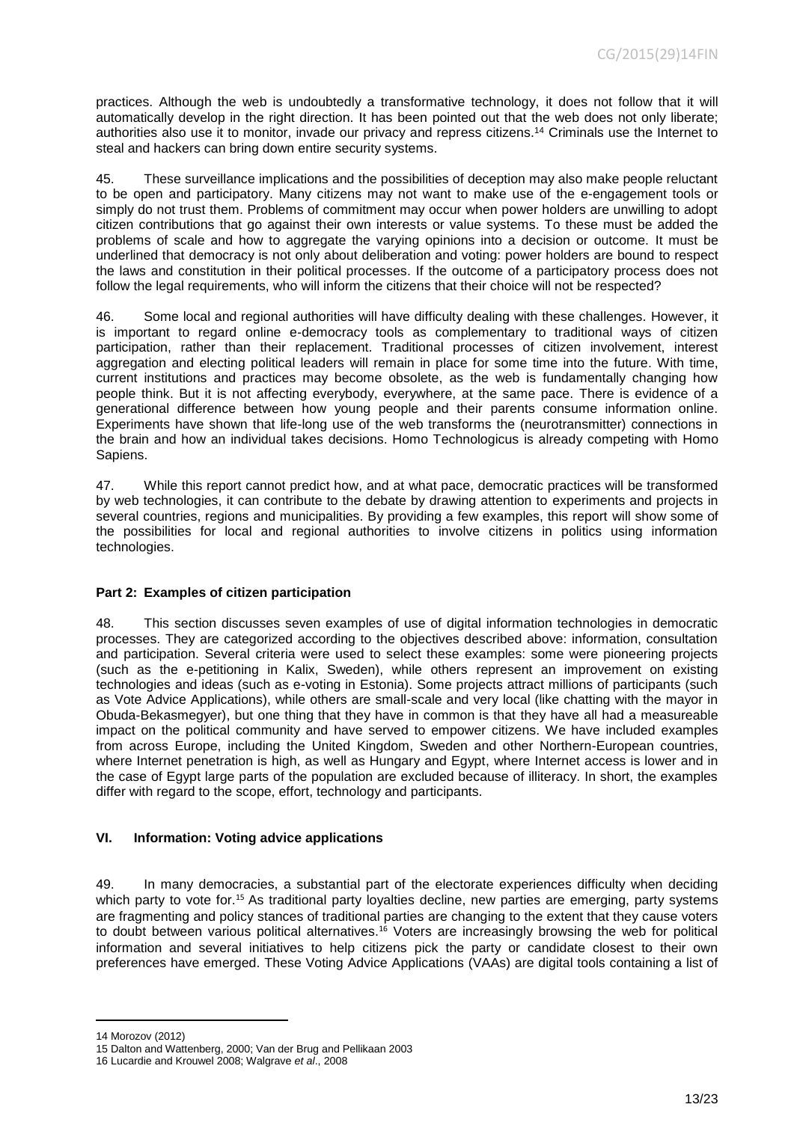practices. Although the web is undoubtedly a transformative technology, it does not follow that it will automatically develop in the right direction. It has been pointed out that the web does not only liberate; authorities also use it to monitor, invade our privacy and repress citizens. <sup>14</sup> Criminals use the Internet to steal and hackers can bring down entire security systems.

45. These surveillance implications and the possibilities of deception may also make people reluctant to be open and participatory. Many citizens may not want to make use of the e-engagement tools or simply do not trust them. Problems of commitment may occur when power holders are unwilling to adopt citizen contributions that go against their own interests or value systems. To these must be added the problems of scale and how to aggregate the varying opinions into a decision or outcome. It must be underlined that democracy is not only about deliberation and voting: power holders are bound to respect the laws and constitution in their political processes. If the outcome of a participatory process does not follow the legal requirements, who will inform the citizens that their choice will not be respected?

46. Some local and regional authorities will have difficulty dealing with these challenges. However, it is important to regard online e-democracy tools as complementary to traditional ways of citizen participation, rather than their replacement. Traditional processes of citizen involvement, interest aggregation and electing political leaders will remain in place for some time into the future. With time, current institutions and practices may become obsolete, as the web is fundamentally changing how people think. But it is not affecting everybody, everywhere, at the same pace. There is evidence of a generational difference between how young people and their parents consume information online. Experiments have shown that life-long use of the web transforms the (neurotransmitter) connections in the brain and how an individual takes decisions. Homo Technologicus is already competing with Homo Sapiens.

47. While this report cannot predict how, and at what pace, democratic practices will be transformed by web technologies, it can contribute to the debate by drawing attention to experiments and projects in several countries, regions and municipalities. By providing a few examples, this report will show some of the possibilities for local and regional authorities to involve citizens in politics using information technologies.

## <span id="page-12-0"></span>**Part 2: Examples of citizen participation**

48. This section discusses seven examples of use of digital information technologies in democratic processes. They are categorized according to the objectives described above: information, consultation and participation. Several criteria were used to select these examples: some were pioneering projects (such as the e-petitioning in Kalix, Sweden), while others represent an improvement on existing technologies and ideas (such as e-voting in Estonia). Some projects attract millions of participants (such as Vote Advice Applications), while others are small-scale and very local (like chatting with the mayor in Obuda-Bekasmegyer), but one thing that they have in common is that they have all had a measureable impact on the political community and have served to empower citizens. We have included examples from across Europe, including the United Kingdom, Sweden and other Northern-European countries, where Internet penetration is high, as well as Hungary and Egypt, where Internet access is lower and in the case of Egypt large parts of the population are excluded because of illiteracy. In short, the examples differ with regard to the scope, effort, technology and participants.

## <span id="page-12-1"></span>**VI. Information: Voting advice applications**

49. In many democracies, a substantial part of the electorate experiences difficulty when deciding which party to vote for.<sup>15</sup> As traditional party loyalties decline, new parties are emerging, party systems are fragmenting and policy stances of traditional parties are changing to the extent that they cause voters to doubt between various political alternatives.<sup>16</sup> Voters are increasingly browsing the web for political information and several initiatives to help citizens pick the party or candidate closest to their own preferences have emerged. These Voting Advice Applications (VAAs) are digital tools containing a list of

<sup>14</sup> Morozov (2012)

<sup>15</sup> Dalton and Wattenberg, 2000; Van der Brug and Pellikaan 2003

<sup>16</sup> Lucardie and Krouwel 2008; Walgrave *et al*., 2008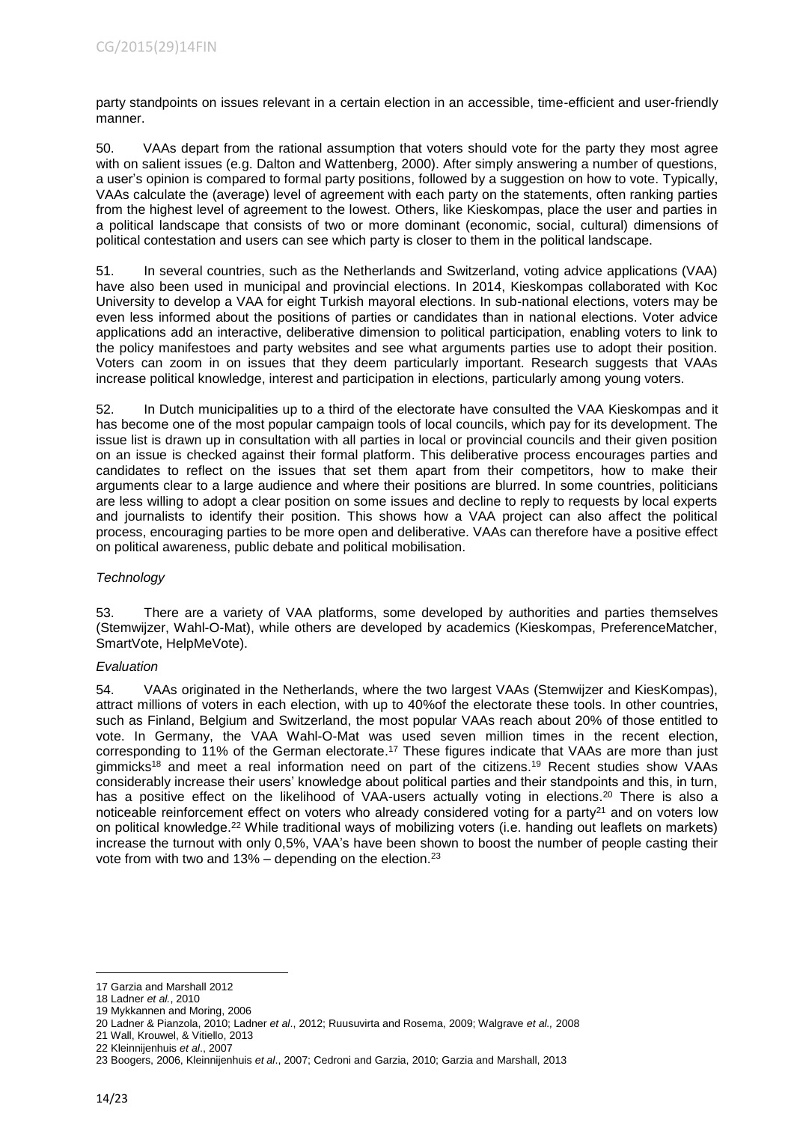party standpoints on issues relevant in a certain election in an accessible, time-efficient and user-friendly manner.

50. VAAs depart from the rational assumption that voters should vote for the party they most agree with on salient issues (e.g. Dalton and Wattenberg, 2000). After simply answering a number of questions, a user's opinion is compared to formal party positions, followed by a suggestion on how to vote. Typically, VAAs calculate the (average) level of agreement with each party on the statements, often ranking parties from the highest level of agreement to the lowest. Others, like Kieskompas, place the user and parties in a political landscape that consists of two or more dominant (economic, social, cultural) dimensions of political contestation and users can see which party is closer to them in the political landscape.

51. In several countries, such as the Netherlands and Switzerland, voting advice applications (VAA) have also been used in municipal and provincial elections. In 2014, Kieskompas collaborated with Koc University to develop a VAA for eight Turkish mayoral elections. In sub-national elections, voters may be even less informed about the positions of parties or candidates than in national elections. Voter advice applications add an interactive, deliberative dimension to political participation, enabling voters to link to the policy manifestoes and party websites and see what arguments parties use to adopt their position. Voters can zoom in on issues that they deem particularly important. Research suggests that VAAs increase political knowledge, interest and participation in elections, particularly among young voters.

52. In Dutch municipalities up to a third of the electorate have consulted the VAA Kieskompas and it has become one of the most popular campaign tools of local councils, which pay for its development. The issue list is drawn up in consultation with all parties in local or provincial councils and their given position on an issue is checked against their formal platform. This deliberative process encourages parties and candidates to reflect on the issues that set them apart from their competitors, how to make their arguments clear to a large audience and where their positions are blurred. In some countries, politicians are less willing to adopt a clear position on some issues and decline to reply to requests by local experts and journalists to identify their position. This shows how a VAA project can also affect the political process, encouraging parties to be more open and deliberative. VAAs can therefore have a positive effect on political awareness, public debate and political mobilisation.

## *Technology*

53. There are a variety of VAA platforms, some developed by authorities and parties themselves (Stemwijzer, Wahl-O-Mat), while others are developed by academics (Kieskompas, PreferenceMatcher, SmartVote, HelpMeVote).

## *Evaluation*

54. VAAs originated in the Netherlands, where the two largest VAAs (Stemwijzer and KiesKompas), attract millions of voters in each election, with up to 40%of the electorate these tools. In other countries, such as Finland, Belgium and Switzerland, the most popular VAAs reach about 20% of those entitled to vote. In Germany, the VAA Wahl-O-Mat was used seven million times in the recent election, corresponding to 11% of the German electorate. <sup>17</sup> These figures indicate that VAAs are more than just gimmicks<sup>18</sup> and meet a real information need on part of the citizens.<sup>19</sup> Recent studies show VAAs considerably increase their users' knowledge about political parties and their standpoints and this, in turn, has a positive effect on the likelihood of VAA-users actually voting in elections.<sup>20</sup> There is also a noticeable reinforcement effect on voters who already considered voting for a party $2<sup>1</sup>$  and on voters low on political knowledge.<sup>22</sup> While traditional ways of mobilizing voters (i.e. handing out leaflets on markets) increase the turnout with only 0,5%, VAA's have been shown to boost the number of people casting their vote from with two and  $13%$  – depending on the election.<sup>23</sup>

21 Wall, Krouwel, & Vitiello, 2013

<sup>-</sup>17 Garzia and Marshall 2012

<sup>18</sup> Ladner *et al.*, 2010

<sup>19</sup> Mykkannen and Moring, 2006

<sup>20</sup> Ladner & Pianzola, 2010; Ladner *et al*., 2012; Ruusuvirta and Rosema, 2009; Walgrave *et al.,* 2008

<sup>22</sup> Kleinnijenhuis *et al*., 2007

<sup>23</sup> Boogers, 2006, Kleinnijenhuis *et al*., 2007; Cedroni and Garzia, 2010; Garzia and Marshall, 2013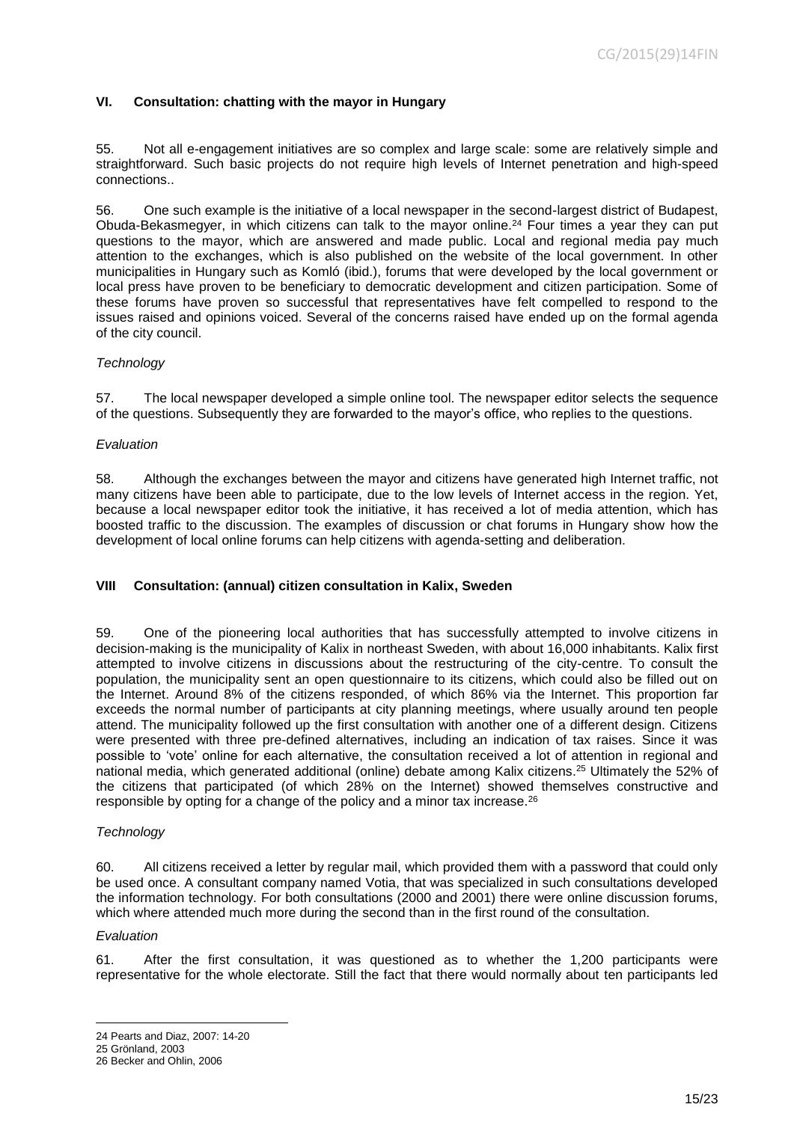#### <span id="page-14-0"></span>**VI. Consultation: chatting with the mayor in Hungary**

55. Not all e-engagement initiatives are so complex and large scale: some are relatively simple and straightforward. Such basic projects do not require high levels of Internet penetration and high-speed connections..

56. One such example is the initiative of a local newspaper in the second-largest district of Budapest, Obuda-Bekasmegyer, in which citizens can talk to the mayor online.<sup>24</sup> Four times a year they can put questions to the mayor, which are answered and made public. Local and regional media pay much attention to the exchanges, which is also published on the website of the local government. In other municipalities in Hungary such as Komló (ibid.), forums that were developed by the local government or local press have proven to be beneficiary to democratic development and citizen participation. Some of these forums have proven so successful that representatives have felt compelled to respond to the issues raised and opinions voiced. Several of the concerns raised have ended up on the formal agenda of the city council.

#### *Technology*

57. The local newspaper developed a simple online tool. The newspaper editor selects the sequence of the questions. Subsequently they are forwarded to the mayor's office, who replies to the questions.

#### *Evaluation*

58. Although the exchanges between the mayor and citizens have generated high Internet traffic, not many citizens have been able to participate, due to the low levels of Internet access in the region. Yet, because a local newspaper editor took the initiative, it has received a lot of media attention, which has boosted traffic to the discussion. The examples of discussion or chat forums in Hungary show how the development of local online forums can help citizens with agenda-setting and deliberation.

#### <span id="page-14-1"></span>**VIII Consultation: (annual) citizen consultation in Kalix, Sweden**

59. One of the pioneering local authorities that has successfully attempted to involve citizens in decision-making is the municipality of Kalix in northeast Sweden, with about 16,000 inhabitants. Kalix first attempted to involve citizens in discussions about the restructuring of the city-centre. To consult the population, the municipality sent an open questionnaire to its citizens, which could also be filled out on the Internet. Around 8% of the citizens responded, of which 86% via the Internet. This proportion far exceeds the normal number of participants at city planning meetings, where usually around ten people attend. The municipality followed up the first consultation with another one of a different design. Citizens were presented with three pre-defined alternatives, including an indication of tax raises. Since it was possible to 'vote' online for each alternative, the consultation received a lot of attention in regional and national media, which generated additional (online) debate among Kalix citizens. <sup>25</sup> Ultimately the 52% of the citizens that participated (of which 28% on the Internet) showed themselves constructive and responsible by opting for a change of the policy and a minor tax increase.<sup>26</sup>

#### *Technology*

60. All citizens received a letter by regular mail, which provided them with a password that could only be used once. A consultant company named Votia, that was specialized in such consultations developed the information technology. For both consultations (2000 and 2001) there were online discussion forums, which where attended much more during the second than in the first round of the consultation.

#### *Evaluation*

-

61. After the first consultation, it was questioned as to whether the 1,200 participants were representative for the whole electorate. Still the fact that there would normally about ten participants led

<sup>24</sup> Pearts and Diaz, 2007: 14-20

<sup>25</sup> Grönland, 2003

<sup>26</sup> Becker and Ohlin, 2006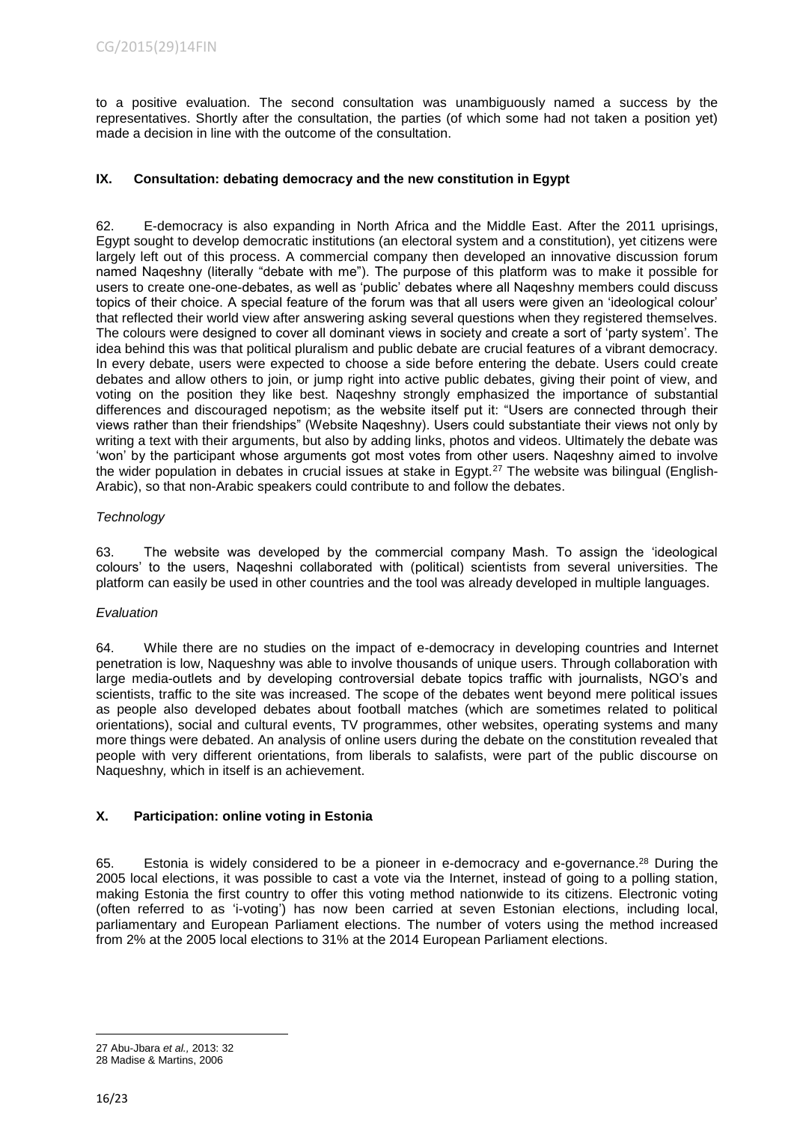to a positive evaluation. The second consultation was unambiguously named a success by the representatives. Shortly after the consultation, the parties (of which some had not taken a position yet) made a decision in line with the outcome of the consultation.

## <span id="page-15-0"></span>**IX. Consultation: debating democracy and the new constitution in Egypt**

62. E-democracy is also expanding in North Africa and the Middle East. After the 2011 uprisings, Egypt sought to develop democratic institutions (an electoral system and a constitution), yet citizens were largely left out of this process. A commercial company then developed an innovative discussion forum named Naqeshny (literally "debate with me"). The purpose of this platform was to make it possible for users to create one-one-debates, as well as 'public' debates where all Naqeshny members could discuss topics of their choice. A special feature of the forum was that all users were given an 'ideological colour' that reflected their world view after answering asking several questions when they registered themselves. The colours were designed to cover all dominant views in society and create a sort of 'party system'. The idea behind this was that political pluralism and public debate are crucial features of a vibrant democracy. In every debate, users were expected to choose a side before entering the debate. Users could create debates and allow others to join, or jump right into active public debates, giving their point of view, and voting on the position they like best. Naqeshny strongly emphasized the importance of substantial differences and discouraged nepotism; as the website itself put it: "Users are connected through their views rather than their friendships" (Website Naqeshny). Users could substantiate their views not only by writing a text with their arguments, but also by adding links, photos and videos. Ultimately the debate was 'won' by the participant whose arguments got most votes from other users. Naqeshny aimed to involve the wider population in debates in crucial issues at stake in Egypt.<sup>27</sup> The website was bilingual (English-Arabic), so that non-Arabic speakers could contribute to and follow the debates.

## *Technology*

63. The website was developed by the commercial company Mash. To assign the 'ideological colours' to the users, Naqeshni collaborated with (political) scientists from several universities. The platform can easily be used in other countries and the tool was already developed in multiple languages.

## *Evaluation*

64. While there are no studies on the impact of e-democracy in developing countries and Internet penetration is low, Naqueshny was able to involve thousands of unique users. Through collaboration with large media-outlets and by developing controversial debate topics traffic with journalists, NGO's and scientists, traffic to the site was increased. The scope of the debates went beyond mere political issues as people also developed debates about football matches (which are sometimes related to political orientations), social and cultural events, TV programmes, other websites, operating systems and many more things were debated. An analysis of online users during the debate on the constitution revealed that people with very different orientations, from liberals to salafists, were part of the public discourse on Naqueshny*,* which in itself is an achievement.

# <span id="page-15-1"></span>**X. Participation: online voting in Estonia**

65. Estonia is widely considered to be a pioneer in e-democracy and e-governance.<sup>28</sup> During the 2005 local elections, it was possible to cast a vote via the Internet, instead of going to a polling station, making Estonia the first country to offer this voting method nationwide to its citizens. Electronic voting (often referred to as 'i-voting') has now been carried at seven Estonian elections, including local, parliamentary and European Parliament elections. The number of voters using the method increased from 2% at the 2005 local elections to 31% at the 2014 European Parliament elections.

1

<sup>27</sup> Abu-Jbara *et al.,* 2013: 32

<sup>28</sup> Madise & Martins, 2006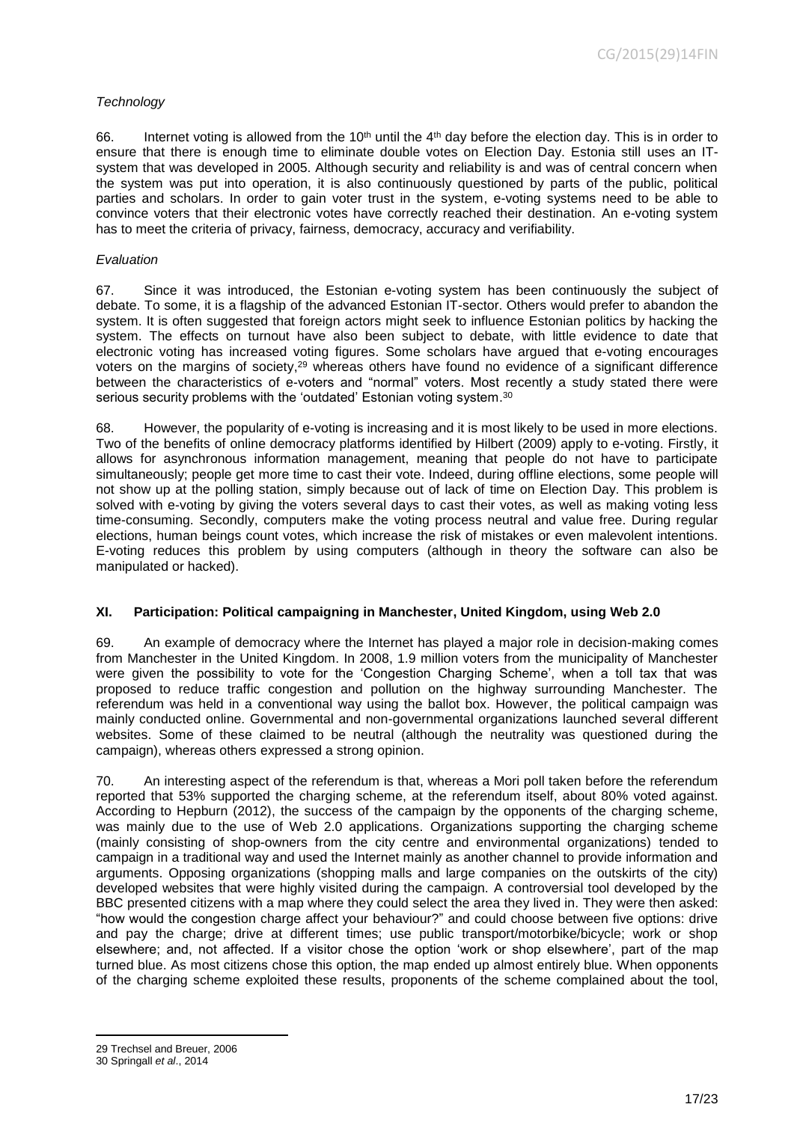## *Technology*

66. Internet voting is allowed from the 10<sup>th</sup> until the  $4<sup>th</sup>$  day before the election day. This is in order to ensure that there is enough time to eliminate double votes on Election Day. Estonia still uses an ITsystem that was developed in 2005. Although security and reliability is and was of central concern when the system was put into operation, it is also continuously questioned by parts of the public, political parties and scholars. In order to gain voter trust in the system, e-voting systems need to be able to convince voters that their electronic votes have correctly reached their destination. An e-voting system has to meet the criteria of privacy, fairness, democracy, accuracy and verifiability.

## *Evaluation*

67. Since it was introduced, the Estonian e-voting system has been continuously the subject of debate. To some, it is a flagship of the advanced Estonian IT-sector. Others would prefer to abandon the system. It is often suggested that foreign actors might seek to influence Estonian politics by hacking the system. The effects on turnout have also been subject to debate, with little evidence to date that electronic voting has increased voting figures. Some scholars have argued that e-voting encourages voters on the margins of society, $29$  whereas others have found no evidence of a significant difference between the characteristics of e-voters and "normal" voters. Most recently a study stated there were serious security problems with the 'outdated' Estonian voting system.<sup>30</sup>

68. However, the popularity of e-voting is increasing and it is most likely to be used in more elections. Two of the benefits of online democracy platforms identified by Hilbert (2009) apply to e-voting. Firstly, it allows for asynchronous information management, meaning that people do not have to participate simultaneously; people get more time to cast their vote. Indeed, during offline elections, some people will not show up at the polling station, simply because out of lack of time on Election Day. This problem is solved with e-voting by giving the voters several days to cast their votes, as well as making voting less time-consuming. Secondly, computers make the voting process neutral and value free. During regular elections, human beings count votes, which increase the risk of mistakes or even malevolent intentions. E-voting reduces this problem by using computers (although in theory the software can also be manipulated or hacked).

## <span id="page-16-0"></span>**XI. Participation: Political campaigning in Manchester, United Kingdom, using Web 2.0**

69. An example of democracy where the Internet has played a major role in decision-making comes from Manchester in the United Kingdom. In 2008, 1.9 million voters from the municipality of Manchester were given the possibility to vote for the 'Congestion Charging Scheme', when a toll tax that was proposed to reduce traffic congestion and pollution on the highway surrounding Manchester. The referendum was held in a conventional way using the ballot box. However, the political campaign was mainly conducted online. Governmental and non-governmental organizations launched several different websites. Some of these claimed to be neutral (although the neutrality was questioned during the campaign), whereas others expressed a strong opinion.

70. An interesting aspect of the referendum is that, whereas a Mori poll taken before the referendum reported that 53% supported the charging scheme, at the referendum itself, about 80% voted against. According to Hepburn (2012), the success of the campaign by the opponents of the charging scheme, was mainly due to the use of Web 2.0 applications. Organizations supporting the charging scheme (mainly consisting of shop-owners from the city centre and environmental organizations) tended to campaign in a traditional way and used the Internet mainly as another channel to provide information and arguments. Opposing organizations (shopping malls and large companies on the outskirts of the city) developed websites that were highly visited during the campaign. A controversial tool developed by the BBC presented citizens with a map where they could select the area they lived in. They were then asked: "how would the congestion charge affect your behaviour?" and could choose between five options: drive and pay the charge; drive at different times; use public transport/motorbike/bicycle; work or shop elsewhere; and, not affected. If a visitor chose the option 'work or shop elsewhere', part of the map turned blue. As most citizens chose this option, the map ended up almost entirely blue. When opponents of the charging scheme exploited these results, proponents of the scheme complained about the tool,

<sup>-</sup>29 Trechsel and Breuer, 2006

<sup>30</sup> Springall *et al*., 2014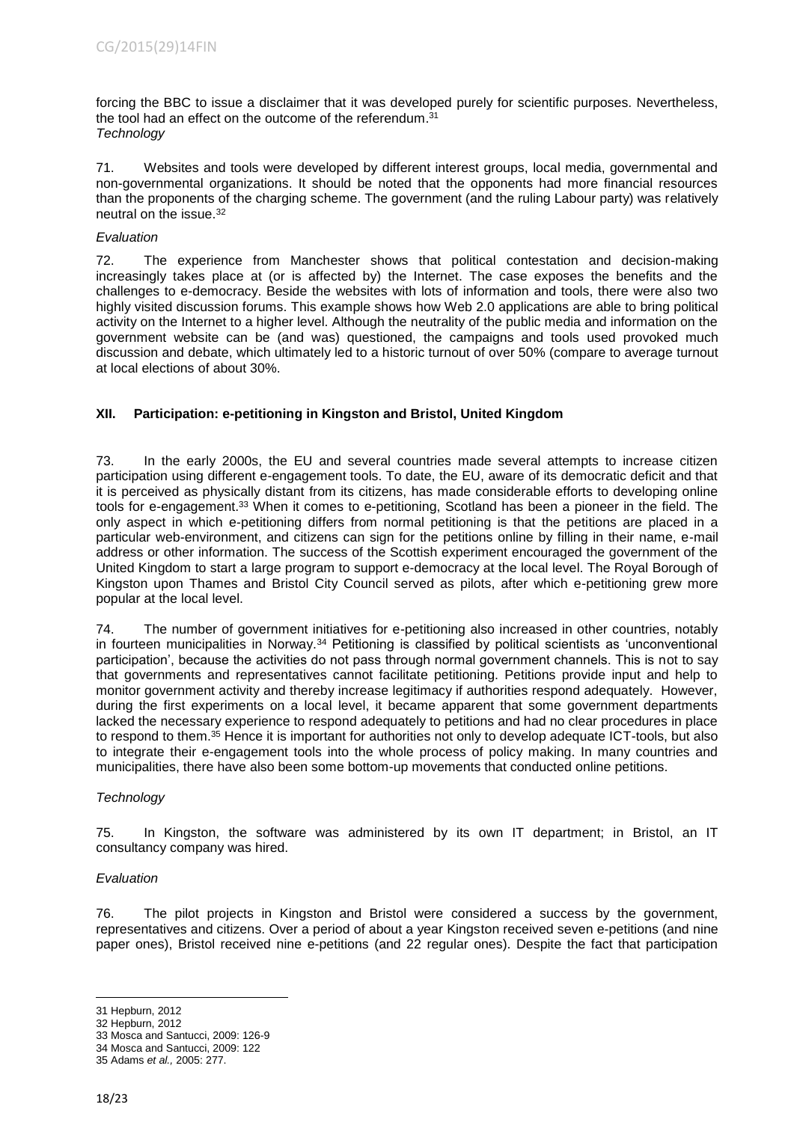forcing the BBC to issue a disclaimer that it was developed purely for scientific purposes. Nevertheless, the tool had an effect on the outcome of the referendum.<sup>31</sup> *Technology*

71. Websites and tools were developed by different interest groups, local media, governmental and non-governmental organizations. It should be noted that the opponents had more financial resources than the proponents of the charging scheme. The government (and the ruling Labour party) was relatively neutral on the issue. 32

## *Evaluation*

72. The experience from Manchester shows that political contestation and decision-making increasingly takes place at (or is affected by) the Internet. The case exposes the benefits and the challenges to e-democracy. Beside the websites with lots of information and tools, there were also two highly visited discussion forums. This example shows how Web 2.0 applications are able to bring political activity on the Internet to a higher level. Although the neutrality of the public media and information on the government website can be (and was) questioned, the campaigns and tools used provoked much discussion and debate, which ultimately led to a historic turnout of over 50% (compare to average turnout at local elections of about 30%.

## <span id="page-17-0"></span>**XII. Participation: e-petitioning in Kingston and Bristol, United Kingdom**

73. In the early 2000s, the EU and several countries made several attempts to increase citizen participation using different e-engagement tools. To date, the EU, aware of its democratic deficit and that it is perceived as physically distant from its citizens, has made considerable efforts to developing online tools for e-engagement.<sup>33</sup> When it comes to e-petitioning, Scotland has been a pioneer in the field. The only aspect in which e-petitioning differs from normal petitioning is that the petitions are placed in a particular web-environment, and citizens can sign for the petitions online by filling in their name, e-mail address or other information. The success of the Scottish experiment encouraged the government of the United Kingdom to start a large program to support e-democracy at the local level. The Royal Borough of Kingston upon Thames and Bristol City Council served as pilots, after which e-petitioning grew more popular at the local level.

74. The number of government initiatives for e-petitioning also increased in other countries, notably in fourteen municipalities in Norway.<sup>34</sup> Petitioning is classified by political scientists as 'unconventional participation', because the activities do not pass through normal government channels. This is not to say that governments and representatives cannot facilitate petitioning. Petitions provide input and help to monitor government activity and thereby increase legitimacy if authorities respond adequately. However, during the first experiments on a local level, it became apparent that some government departments lacked the necessary experience to respond adequately to petitions and had no clear procedures in place to respond to them.<sup>35</sup> Hence it is important for authorities not only to develop adequate ICT-tools, but also to integrate their e-engagement tools into the whole process of policy making. In many countries and municipalities, there have also been some bottom-up movements that conducted online petitions.

## *Technology*

75. In Kingston, the software was administered by its own IT department; in Bristol, an IT consultancy company was hired.

#### *Evaluation*

76. The pilot projects in Kingston and Bristol were considered a success by the government, representatives and citizens. Over a period of about a year Kingston received seven e-petitions (and nine paper ones), Bristol received nine e-petitions (and 22 regular ones). Despite the fact that participation

<sup>31</sup> Hepburn, 2012

<sup>32</sup> Hepburn, 2012

<sup>33</sup> Mosca and Santucci, 2009: 126-9

<sup>34</sup> Mosca and Santucci, 2009: 122

<sup>35</sup> Adams *et al.,* 2005: 277.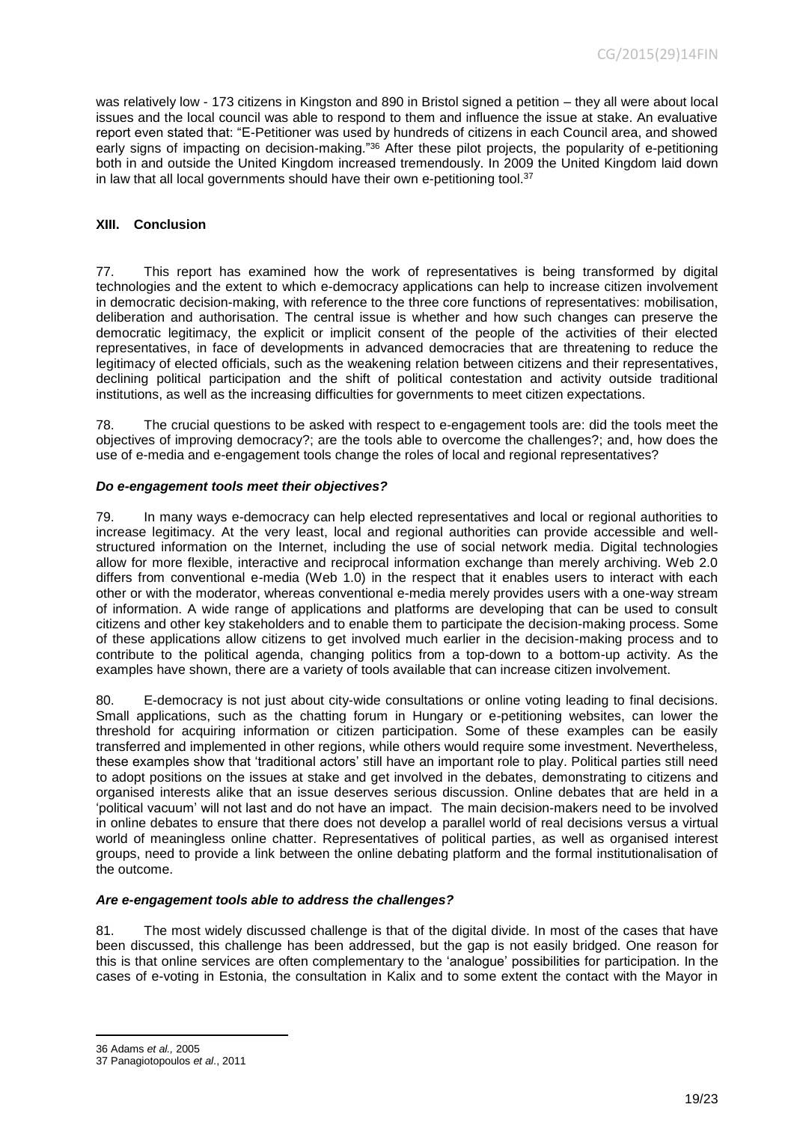was relatively low - 173 citizens in Kingston and 890 in Bristol signed a petition – they all were about local issues and the local council was able to respond to them and influence the issue at stake. An evaluative report even stated that: "E-Petitioner was used by hundreds of citizens in each Council area, and showed early signs of impacting on decision-making."<sup>36</sup> After these pilot projects, the popularity of e-petitioning both in and outside the United Kingdom increased tremendously. In 2009 the United Kingdom laid down in law that all local governments should have their own e-petitioning tool.<sup>37</sup>

#### <span id="page-18-0"></span>**XIII. Conclusion**

77. This report has examined how the work of representatives is being transformed by digital technologies and the extent to which e-democracy applications can help to increase citizen involvement in democratic decision-making, with reference to the three core functions of representatives: mobilisation, deliberation and authorisation. The central issue is whether and how such changes can preserve the democratic legitimacy, the explicit or implicit consent of the people of the activities of their elected representatives, in face of developments in advanced democracies that are threatening to reduce the legitimacy of elected officials, such as the weakening relation between citizens and their representatives, declining political participation and the shift of political contestation and activity outside traditional institutions, as well as the increasing difficulties for governments to meet citizen expectations.

78. The crucial questions to be asked with respect to e-engagement tools are: did the tools meet the objectives of improving democracy?; are the tools able to overcome the challenges?; and, how does the use of e-media and e-engagement tools change the roles of local and regional representatives?

#### *Do e-engagement tools meet their objectives?*

79. In many ways e-democracy can help elected representatives and local or regional authorities to increase legitimacy. At the very least, local and regional authorities can provide accessible and wellstructured information on the Internet, including the use of social network media. Digital technologies allow for more flexible, interactive and reciprocal information exchange than merely archiving. Web 2.0 differs from conventional e-media (Web 1.0) in the respect that it enables users to interact with each other or with the moderator, whereas conventional e-media merely provides users with a one-way stream of information. A wide range of applications and platforms are developing that can be used to consult citizens and other key stakeholders and to enable them to participate the decision-making process. Some of these applications allow citizens to get involved much earlier in the decision-making process and to contribute to the political agenda, changing politics from a top-down to a bottom-up activity. As the examples have shown, there are a variety of tools available that can increase citizen involvement.

80. E-democracy is not just about city-wide consultations or online voting leading to final decisions. Small applications, such as the chatting forum in Hungary or e-petitioning websites, can lower the threshold for acquiring information or citizen participation. Some of these examples can be easily transferred and implemented in other regions, while others would require some investment. Nevertheless, these examples show that 'traditional actors' still have an important role to play. Political parties still need to adopt positions on the issues at stake and get involved in the debates, demonstrating to citizens and organised interests alike that an issue deserves serious discussion. Online debates that are held in a 'political vacuum' will not last and do not have an impact. The main decision-makers need to be involved in online debates to ensure that there does not develop a parallel world of real decisions versus a virtual world of meaningless online chatter. Representatives of political parties, as well as organised interest groups, need to provide a link between the online debating platform and the formal institutionalisation of the outcome.

## *Are e-engagement tools able to address the challenges?*

81. The most widely discussed challenge is that of the digital divide. In most of the cases that have been discussed, this challenge has been addressed, but the gap is not easily bridged. One reason for this is that online services are often complementary to the 'analogue' possibilities for participation. In the cases of e-voting in Estonia, the consultation in Kalix and to some extent the contact with the Mayor in

<sup>36</sup> Adams *et al.,* 2005

<sup>37</sup> Panagiotopoulos *et al*., 2011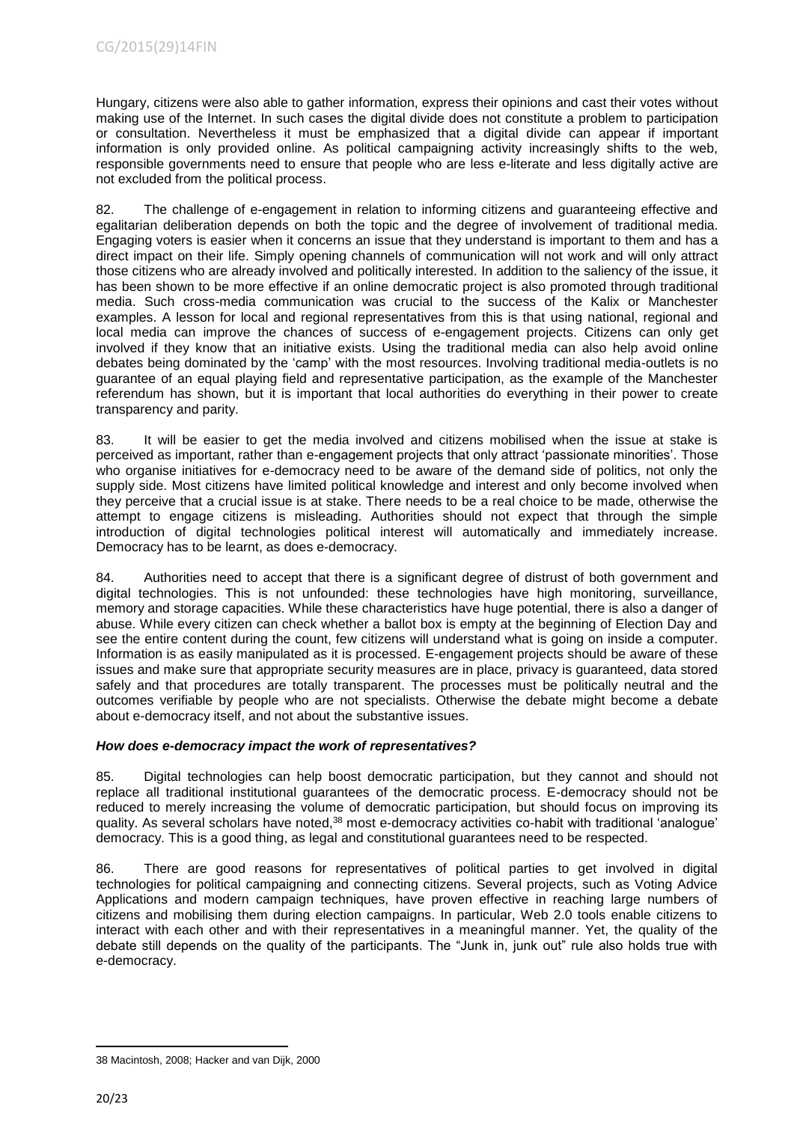Hungary, citizens were also able to gather information, express their opinions and cast their votes without making use of the Internet. In such cases the digital divide does not constitute a problem to participation or consultation. Nevertheless it must be emphasized that a digital divide can appear if important information is only provided online. As political campaigning activity increasingly shifts to the web, responsible governments need to ensure that people who are less e-literate and less digitally active are not excluded from the political process.

82. The challenge of e-engagement in relation to informing citizens and guaranteeing effective and egalitarian deliberation depends on both the topic and the degree of involvement of traditional media. Engaging voters is easier when it concerns an issue that they understand is important to them and has a direct impact on their life. Simply opening channels of communication will not work and will only attract those citizens who are already involved and politically interested. In addition to the saliency of the issue, it has been shown to be more effective if an online democratic project is also promoted through traditional media. Such cross-media communication was crucial to the success of the Kalix or Manchester examples. A lesson for local and regional representatives from this is that using national, regional and local media can improve the chances of success of e-engagement projects. Citizens can only get involved if they know that an initiative exists. Using the traditional media can also help avoid online debates being dominated by the 'camp' with the most resources. Involving traditional media-outlets is no guarantee of an equal playing field and representative participation, as the example of the Manchester referendum has shown, but it is important that local authorities do everything in their power to create transparency and parity.

83. It will be easier to get the media involved and citizens mobilised when the issue at stake is perceived as important, rather than e-engagement projects that only attract 'passionate minorities'. Those who organise initiatives for e-democracy need to be aware of the demand side of politics, not only the supply side. Most citizens have limited political knowledge and interest and only become involved when they perceive that a crucial issue is at stake. There needs to be a real choice to be made, otherwise the attempt to engage citizens is misleading. Authorities should not expect that through the simple introduction of digital technologies political interest will automatically and immediately increase. Democracy has to be learnt, as does e-democracy.

84. Authorities need to accept that there is a significant degree of distrust of both government and digital technologies. This is not unfounded: these technologies have high monitoring, surveillance, memory and storage capacities. While these characteristics have huge potential, there is also a danger of abuse. While every citizen can check whether a ballot box is empty at the beginning of Election Day and see the entire content during the count, few citizens will understand what is going on inside a computer. Information is as easily manipulated as it is processed. E-engagement projects should be aware of these issues and make sure that appropriate security measures are in place, privacy is guaranteed, data stored safely and that procedures are totally transparent. The processes must be politically neutral and the outcomes verifiable by people who are not specialists. Otherwise the debate might become a debate about e-democracy itself, and not about the substantive issues.

# *How does e-democracy impact the work of representatives?*

85. Digital technologies can help boost democratic participation, but they cannot and should not replace all traditional institutional guarantees of the democratic process. E-democracy should not be reduced to merely increasing the volume of democratic participation, but should focus on improving its quality. As several scholars have noted,<sup>38</sup> most e-democracy activities co-habit with traditional 'analogue' democracy. This is a good thing, as legal and constitutional guarantees need to be respected.

86. There are good reasons for representatives of political parties to get involved in digital technologies for political campaigning and connecting citizens. Several projects, such as Voting Advice Applications and modern campaign techniques, have proven effective in reaching large numbers of citizens and mobilising them during election campaigns. In particular, Web 2.0 tools enable citizens to interact with each other and with their representatives in a meaningful manner. Yet, the quality of the debate still depends on the quality of the participants. The "Junk in, junk out" rule also holds true with e-democracy.

<sup>38</sup> Macintosh, 2008; Hacker and van Dijk, 2000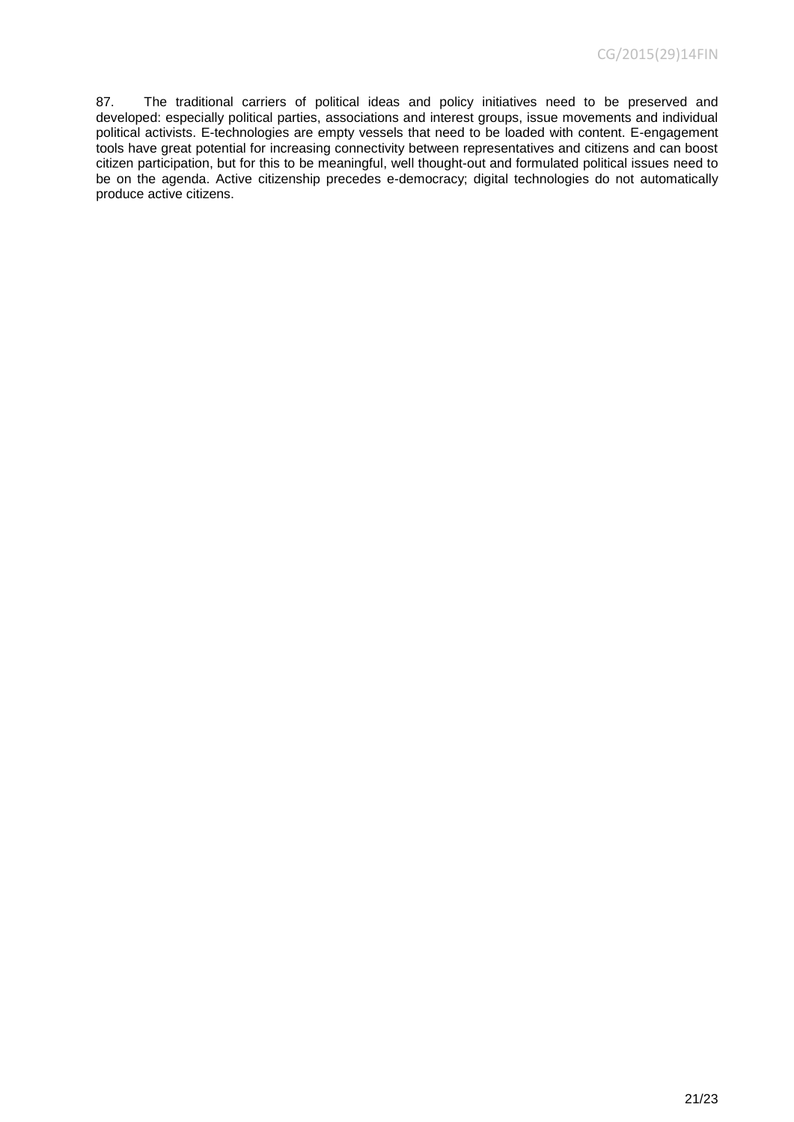87. The traditional carriers of political ideas and policy initiatives need to be preserved and developed: especially political parties, associations and interest groups, issue movements and individual political activists. E-technologies are empty vessels that need to be loaded with content. E-engagement tools have great potential for increasing connectivity between representatives and citizens and can boost citizen participation, but for this to be meaningful, well thought-out and formulated political issues need to be on the agenda. Active citizenship precedes e-democracy; digital technologies do not automatically produce active citizens.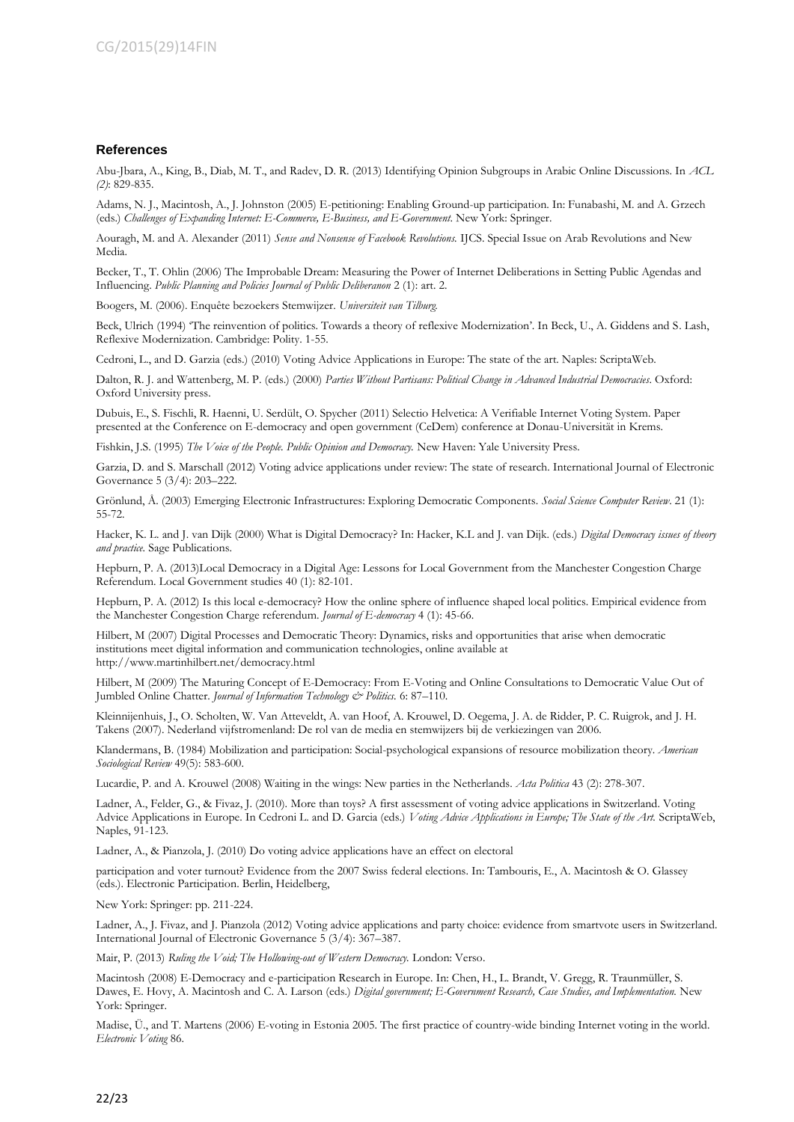#### **References**

Abu-Jbara, A., King, B., Diab, M. T., and Radev, D. R. (2013) Identifying Opinion Subgroups in Arabic Online Discussions. In *ACL (2)*: 829-835.

Adams, N. J., Macintosh, A., J. Johnston (2005) E-petitioning: Enabling Ground-up participation. In: Funabashi, M. and A. Grzech (eds.) *Challenges of Expanding Internet: E-Commerce, E-Business, and E-Government*. New York: Springer.

Aouragh, M. and A. Alexander (2011) *Sense and Nonsense of Facebook Revolutions.* IJCS. Special Issue on Arab Revolutions and New Media.

Becker, T., T. Ohlin (2006) The Improbable Dream: Measuring the Power of Internet Deliberations in Setting Public Agendas and Influencing. *Public Planning and Policies Journal of Public Deliberanon* 2 (1): art. 2.

Boogers, M. (2006). Enquête bezoekers Stemwijzer. *Universiteit van Tilburg.*

Beck, Ulrich (1994) 'The reinvention of politics. Towards a theory of reflexive Modernization'. In Beck, U., A. Giddens and S. Lash, Reflexive Modernization. Cambridge: Polity. 1-55.

Cedroni, L., and D. Garzia (eds.) (2010) Voting Advice Applications in Europe: The state of the art. Naples: ScriptaWeb.

Dalton, R. J. and Wattenberg, M. P. (eds.) (2000) *Parties Without Partisans: Political Change in Advanced Industrial Democracies*. Oxford: Oxford University press.

Dubuis, E., S. Fischli, R. Haenni, U. Serdült, O. Spycher (2011) Selectio Helvetica: A Verifiable Internet Voting System. Paper presented at the Conference on E-democracy and open government (CeDem) conference at Donau-Universität in Krems.

Fishkin, J.S. (1995) *The Voice of the People. Public Opinion and Democracy.* New Haven: Yale University Press.

Garzia, D. and S. Marschall (2012) Voting advice applications under review: The state of research. International Journal of Electronic Governance 5 (3/4): 203–222.

Grönlund, Å. (2003) Emerging Electronic Infrastructures: Exploring Democratic Components. *Social Science Computer Review*. 21 (1): 55-72.

Hacker, K. L. and J. van Dijk (2000) What is Digital Democracy? In: Hacker, K.L and J. van Dijk. (eds.) *Digital Democracy issues of theory and practice.* Sage Publications.

Hepburn, P. A. (2013)Local Democracy in a Digital Age: Lessons for Local Government from the Manchester Congestion Charge Referendum. Local Government studies 40 (1): 82-101.

Hepburn, P. A. (2012) Is this local e-democracy? How the online sphere of influence shaped local politics. Empirical evidence from the Manchester Congestion Charge referendum. *Journal of E-democracy* 4 (1): 45-66.

Hilbert, M (2007) Digital Processes and Democratic Theory: Dynamics, risks and opportunities that arise when democratic institutions meet digital information and communication technologies, online available at http://www.martinhilbert.net/democracy.html

Hilbert, M (2009) The Maturing Concept of E-Democracy: From E-Voting and Online Consultations to Democratic Value Out of Jumbled Online Chatter. *Journal of Information Technology & Politics.* 6: 87–110.

Kleinnijenhuis, J., O. Scholten, W. Van Atteveldt, A. van Hoof, A. Krouwel, D. Oegema, J. A. de Ridder, P. C. Ruigrok, and J. H. Takens (2007). Nederland vijfstromenland: De rol van de media en stemwijzers bij de verkiezingen van 2006.

Klandermans, B. (1984) Mobilization and participation: Social-psychological expansions of resource mobilization theory. *American Sociological Review* 49(5): 583-600.

Lucardie, P. and A. Krouwel (2008) Waiting in the wings: New parties in the Netherlands. *Acta Politica* 43 (2): 278-307.

Ladner, A., Felder, G., & Fivaz, J. (2010). More than toys? A first assessment of voting advice applications in Switzerland. Voting Advice Applications in Europe. In Cedroni L. and D. Garcia (eds.) *Voting Advice Applications in Europe; The State of the Art.* ScriptaWeb, Naples, 91-123.

Ladner, A., & Pianzola, J. (2010) Do voting advice applications have an effect on electoral

participation and voter turnout? Evidence from the 2007 Swiss federal elections. In: Tambouris, E., A. Macintosh & O. Glassey (eds.). Electronic Participation. Berlin, Heidelberg,

New York: Springer: pp. 211-224.

Ladner, A., J. Fivaz, and J. Pianzola (2012) Voting advice applications and party choice: evidence from smartvote users in Switzerland. International Journal of Electronic Governance 5 (3/4): 367–387.

Mair, P. (2013) *Ruling the Void; The Hollowing-out of Western Democracy.* London: Verso.

Macintosh (2008) E-Democracy and e-participation Research in Europe. In: Chen, H., L. Brandt, V. Gregg, R. Traunmüller, S. Dawes, E. Hovy, A. Macintosh and C. A. Larson (eds.) *Digital government; E-Government Research, Case Studies, and Implementation.* New York: Springer.

Madise, Ü., and T. Martens (2006) E-voting in Estonia 2005. The first practice of country-wide binding Internet voting in the world. *Electronic Voting* 86.